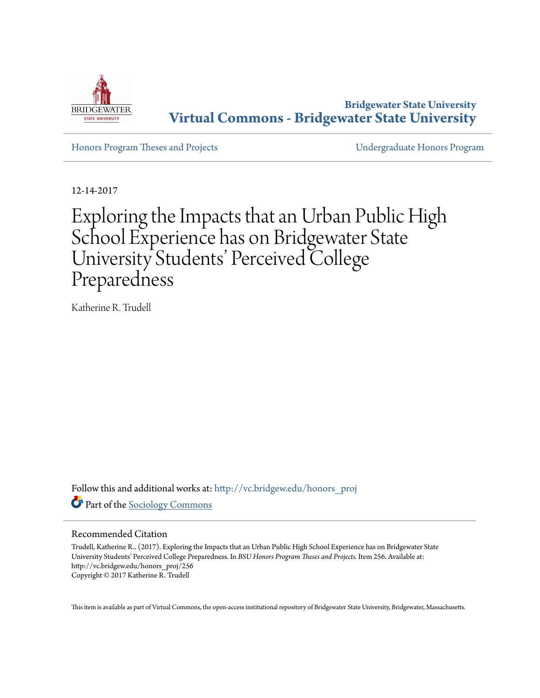

**Bridgewater State University [Virtual Commons - Bridgewater State University](http://vc.bridgew.edu?utm_source=vc.bridgew.edu%2Fhonors_proj%2F256&utm_medium=PDF&utm_campaign=PDFCoverPages)**

[Honors Program Theses and Projects](http://vc.bridgew.edu/honors_proj?utm_source=vc.bridgew.edu%2Fhonors_proj%2F256&utm_medium=PDF&utm_campaign=PDFCoverPages) [Undergraduate Honors Program](http://vc.bridgew.edu/honors?utm_source=vc.bridgew.edu%2Fhonors_proj%2F256&utm_medium=PDF&utm_campaign=PDFCoverPages)

12-14-2017

Exploring the Impacts that an Urban Public High School Experience has on Bridgewater State University Students' Perceived College Preparedness

Katherine R. Trudell

Follow this and additional works at: [http://vc.bridgew.edu/honors\\_proj](http://vc.bridgew.edu/honors_proj?utm_source=vc.bridgew.edu%2Fhonors_proj%2F256&utm_medium=PDF&utm_campaign=PDFCoverPages) Part of the [Sociology Commons](http://network.bepress.com/hgg/discipline/416?utm_source=vc.bridgew.edu%2Fhonors_proj%2F256&utm_medium=PDF&utm_campaign=PDFCoverPages)

# Recommended Citation

Trudell, Katherine R.. (2017). Exploring the Impacts that an Urban Public High School Experience has on Bridgewater State University Students' Perceived College Preparedness. In *BSU Honors Program Theses and Projects.* Item 256. Available at: http://vc.bridgew.edu/honors\_proj/256 Copyright © 2017 Katherine R. Trudell

This item is available as part of Virtual Commons, the open-access institutional repository of Bridgewater State University, Bridgewater, Massachusetts.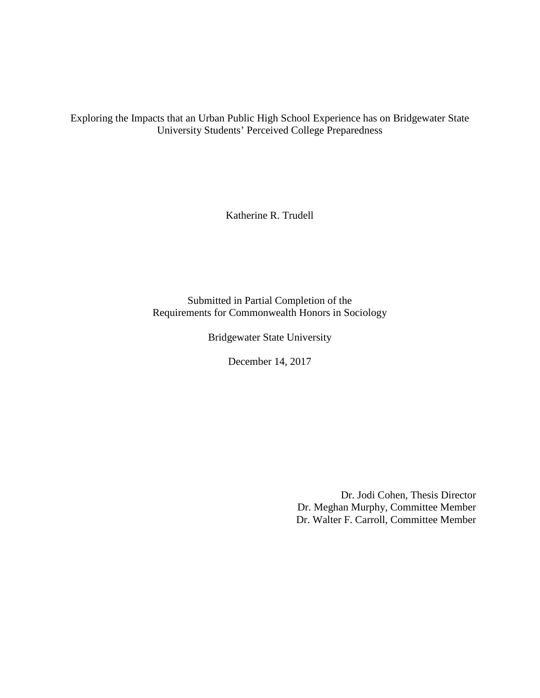Exploring the Impacts that an Urban Public High School Experience has on Bridgewater State University Students' Perceived College Preparedness

Katherine R. Trudell

Submitted in Partial Completion of the Requirements for Commonwealth Honors in Sociology

Bridgewater State University

December 14, 2017

Dr. Jodi Cohen, Thesis Director Dr. Meghan Murphy, Committee Member Dr. Walter F. Carroll, Committee Member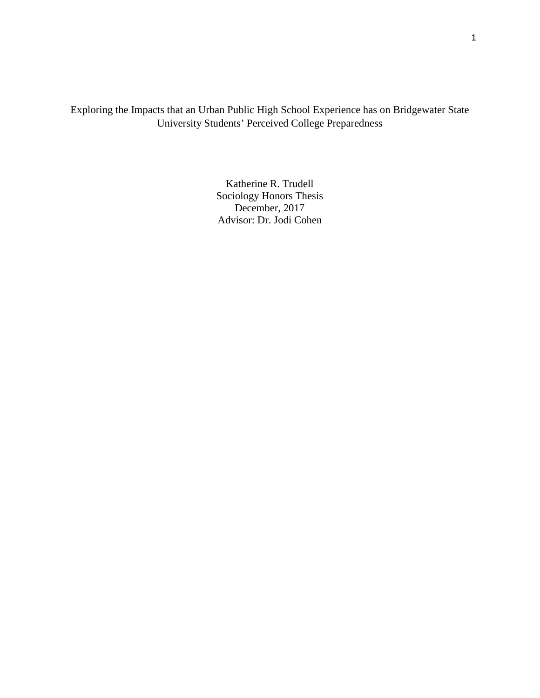Exploring the Impacts that an Urban Public High School Experience has on Bridgewater State University Students' Perceived College Preparedness

> Katherine R. Trudell Sociology Honors Thesis December, 2017 Advisor: Dr. Jodi Cohen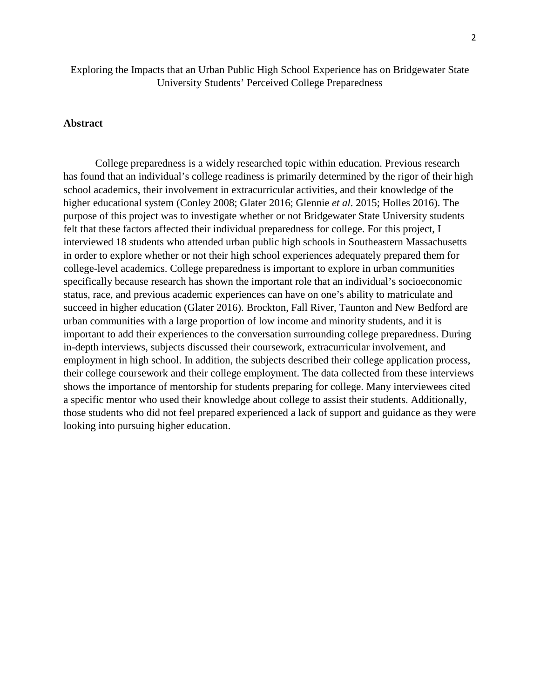Exploring the Impacts that an Urban Public High School Experience has on Bridgewater State University Students' Perceived College Preparedness

# **Abstract**

College preparedness is a widely researched topic within education. Previous research has found that an individual's college readiness is primarily determined by the rigor of their high school academics, their involvement in extracurricular activities, and their knowledge of the higher educational system (Conley 2008; Glater 2016; Glennie *et al*. 2015; Holles 2016). The purpose of this project was to investigate whether or not Bridgewater State University students felt that these factors affected their individual preparedness for college. For this project, I interviewed 18 students who attended urban public high schools in Southeastern Massachusetts in order to explore whether or not their high school experiences adequately prepared them for college-level academics. College preparedness is important to explore in urban communities specifically because research has shown the important role that an individual's socioeconomic status, race, and previous academic experiences can have on one's ability to matriculate and succeed in higher education (Glater 2016). Brockton, Fall River, Taunton and New Bedford are urban communities with a large proportion of low income and minority students, and it is important to add their experiences to the conversation surrounding college preparedness. During in-depth interviews, subjects discussed their coursework, extracurricular involvement, and employment in high school. In addition, the subjects described their college application process, their college coursework and their college employment. The data collected from these interviews shows the importance of mentorship for students preparing for college. Many interviewees cited a specific mentor who used their knowledge about college to assist their students. Additionally, those students who did not feel prepared experienced a lack of support and guidance as they were looking into pursuing higher education.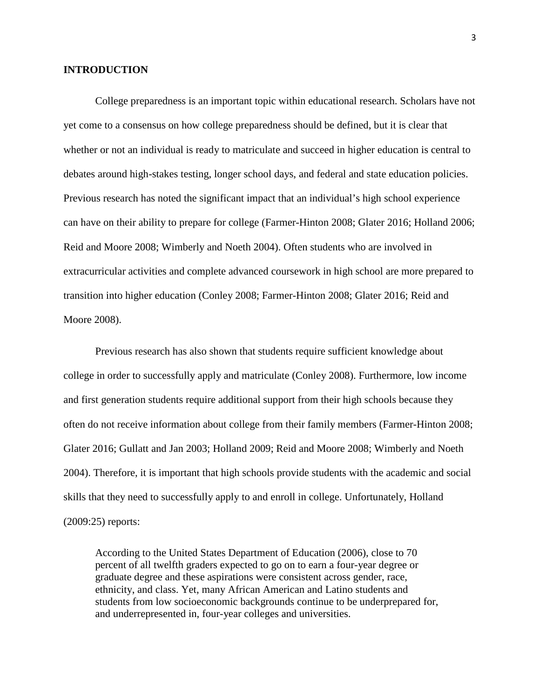#### **INTRODUCTION**

College preparedness is an important topic within educational research. Scholars have not yet come to a consensus on how college preparedness should be defined, but it is clear that whether or not an individual is ready to matriculate and succeed in higher education is central to debates around high-stakes testing, longer school days, and federal and state education policies. Previous research has noted the significant impact that an individual's high school experience can have on their ability to prepare for college (Farmer-Hinton 2008; Glater 2016; Holland 2006; Reid and Moore 2008; Wimberly and Noeth 2004). Often students who are involved in extracurricular activities and complete advanced coursework in high school are more prepared to transition into higher education (Conley 2008; Farmer-Hinton 2008; Glater 2016; Reid and Moore 2008).

Previous research has also shown that students require sufficient knowledge about college in order to successfully apply and matriculate (Conley 2008). Furthermore, low income and first generation students require additional support from their high schools because they often do not receive information about college from their family members (Farmer-Hinton 2008; Glater 2016; Gullatt and Jan 2003; Holland 2009; Reid and Moore 2008; Wimberly and Noeth 2004). Therefore, it is important that high schools provide students with the academic and social skills that they need to successfully apply to and enroll in college. Unfortunately, Holland (2009:25) reports:

According to the United States Department of Education (2006), close to 70 percent of all twelfth graders expected to go on to earn a four-year degree or graduate degree and these aspirations were consistent across gender, race, ethnicity, and class. Yet, many African American and Latino students and students from low socioeconomic backgrounds continue to be underprepared for, and underrepresented in, four-year colleges and universities.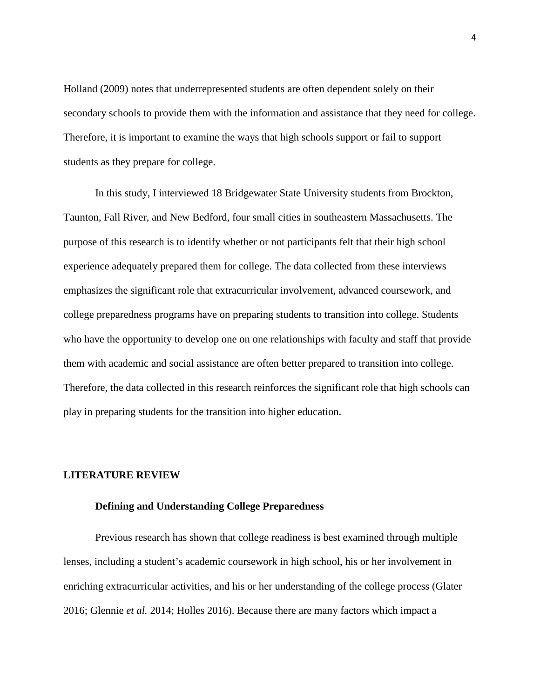Holland (2009) notes that underrepresented students are often dependent solely on their secondary schools to provide them with the information and assistance that they need for college. Therefore, it is important to examine the ways that high schools support or fail to support students as they prepare for college.

In this study, I interviewed 18 Bridgewater State University students from Brockton, Taunton, Fall River, and New Bedford, four small cities in southeastern Massachusetts. The purpose of this research is to identify whether or not participants felt that their high school experience adequately prepared them for college. The data collected from these interviews emphasizes the significant role that extracurricular involvement, advanced coursework, and college preparedness programs have on preparing students to transition into college. Students who have the opportunity to develop one on one relationships with faculty and staff that provide them with academic and social assistance are often better prepared to transition into college. Therefore, the data collected in this research reinforces the significant role that high schools can play in preparing students for the transition into higher education.

#### **LITERATURE REVIEW**

#### **Defining and Understanding College Preparedness**

Previous research has shown that college readiness is best examined through multiple lenses, including a student's academic coursework in high school, his or her involvement in enriching extracurricular activities, and his or her understanding of the college process (Glater 2016; Glennie *et al.* 2014; Holles 2016). Because there are many factors which impact a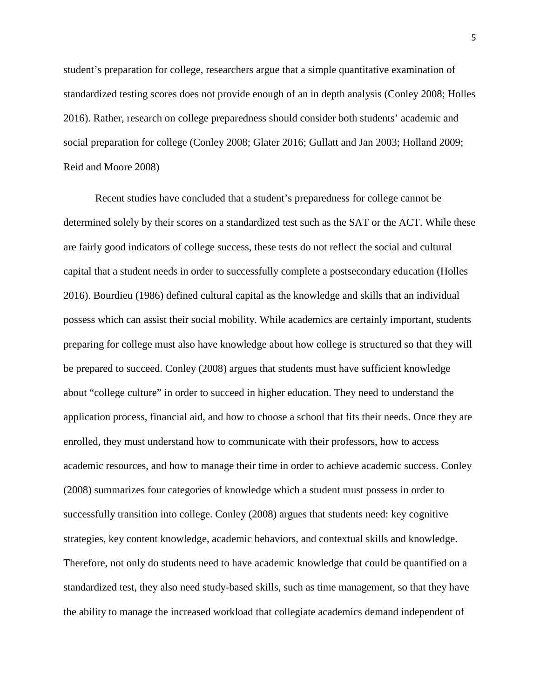student's preparation for college, researchers argue that a simple quantitative examination of standardized testing scores does not provide enough of an in depth analysis (Conley 2008; Holles 2016). Rather, research on college preparedness should consider both students' academic and social preparation for college (Conley 2008; Glater 2016; Gullatt and Jan 2003; Holland 2009; Reid and Moore 2008)

Recent studies have concluded that a student's preparedness for college cannot be determined solely by their scores on a standardized test such as the SAT or the ACT. While these are fairly good indicators of college success, these tests do not reflect the social and cultural capital that a student needs in order to successfully complete a postsecondary education (Holles 2016). Bourdieu (1986) defined cultural capital as the knowledge and skills that an individual possess which can assist their social mobility. While academics are certainly important, students preparing for college must also have knowledge about how college is structured so that they will be prepared to succeed. Conley (2008) argues that students must have sufficient knowledge about "college culture" in order to succeed in higher education. They need to understand the application process, financial aid, and how to choose a school that fits their needs. Once they are enrolled, they must understand how to communicate with their professors, how to access academic resources, and how to manage their time in order to achieve academic success. Conley (2008) summarizes four categories of knowledge which a student must possess in order to successfully transition into college. Conley (2008) argues that students need: key cognitive strategies, key content knowledge, academic behaviors, and contextual skills and knowledge. Therefore, not only do students need to have academic knowledge that could be quantified on a standardized test, they also need study-based skills, such as time management, so that they have the ability to manage the increased workload that collegiate academics demand independent of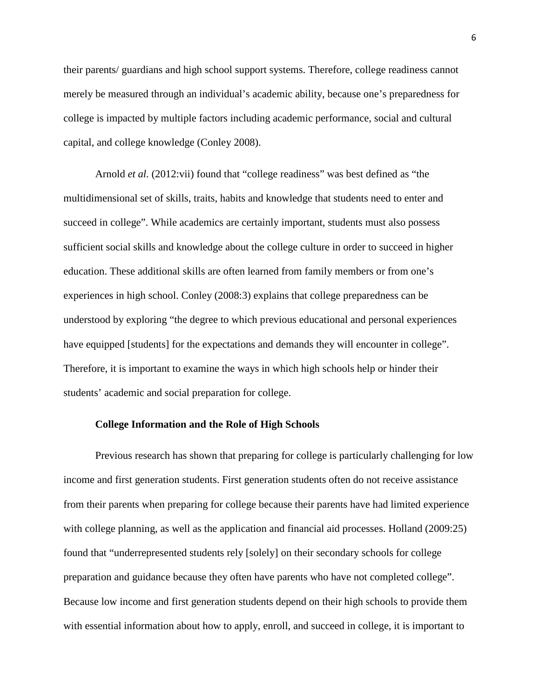their parents/ guardians and high school support systems. Therefore, college readiness cannot merely be measured through an individual's academic ability, because one's preparedness for college is impacted by multiple factors including academic performance, social and cultural capital, and college knowledge (Conley 2008).

Arnold *et al.* (2012:vii) found that "college readiness" was best defined as "the multidimensional set of skills, traits, habits and knowledge that students need to enter and succeed in college". While academics are certainly important, students must also possess sufficient social skills and knowledge about the college culture in order to succeed in higher education. These additional skills are often learned from family members or from one's experiences in high school. Conley (2008:3) explains that college preparedness can be understood by exploring "the degree to which previous educational and personal experiences have equipped [students] for the expectations and demands they will encounter in college". Therefore, it is important to examine the ways in which high schools help or hinder their students' academic and social preparation for college.

#### **College Information and the Role of High Schools**

Previous research has shown that preparing for college is particularly challenging for low income and first generation students. First generation students often do not receive assistance from their parents when preparing for college because their parents have had limited experience with college planning, as well as the application and financial aid processes. Holland (2009:25) found that "underrepresented students rely [solely] on their secondary schools for college preparation and guidance because they often have parents who have not completed college". Because low income and first generation students depend on their high schools to provide them with essential information about how to apply, enroll, and succeed in college, it is important to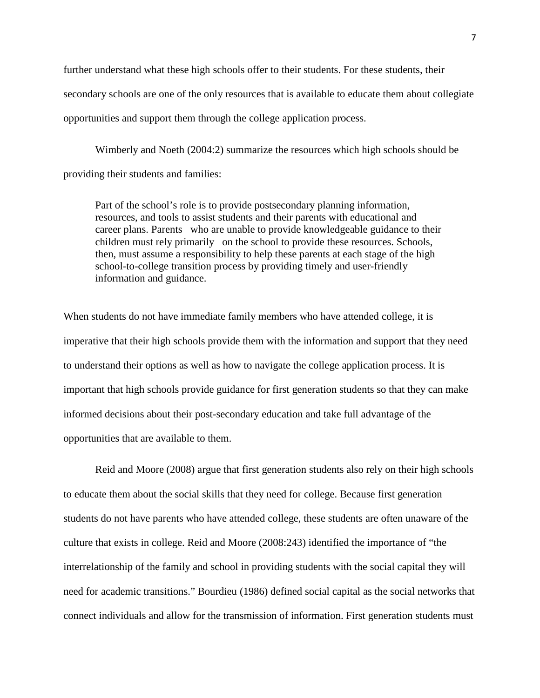further understand what these high schools offer to their students. For these students, their secondary schools are one of the only resources that is available to educate them about collegiate opportunities and support them through the college application process.

Wimberly and Noeth (2004:2) summarize the resources which high schools should be providing their students and families:

Part of the school's role is to provide postsecondary planning information, resources, and tools to assist students and their parents with educational and career plans. Parents who are unable to provide knowledgeable guidance to their children must rely primarily on the school to provide these resources. Schools, then, must assume a responsibility to help these parents at each stage of the high school-to-college transition process by providing timely and user-friendly information and guidance.

When students do not have immediate family members who have attended college, it is imperative that their high schools provide them with the information and support that they need to understand their options as well as how to navigate the college application process. It is important that high schools provide guidance for first generation students so that they can make informed decisions about their post-secondary education and take full advantage of the opportunities that are available to them.

Reid and Moore (2008) argue that first generation students also rely on their high schools to educate them about the social skills that they need for college. Because first generation students do not have parents who have attended college, these students are often unaware of the culture that exists in college. Reid and Moore (2008:243) identified the importance of "the interrelationship of the family and school in providing students with the social capital they will need for academic transitions." Bourdieu (1986) defined social capital as the social networks that connect individuals and allow for the transmission of information. First generation students must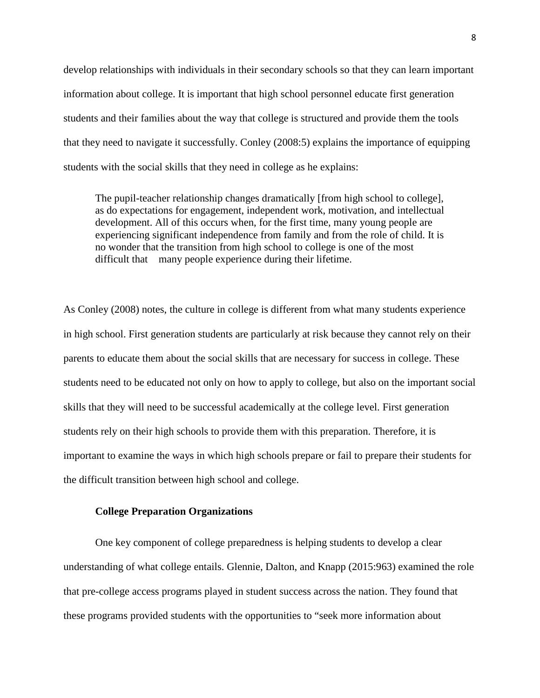develop relationships with individuals in their secondary schools so that they can learn important information about college. It is important that high school personnel educate first generation students and their families about the way that college is structured and provide them the tools that they need to navigate it successfully. Conley (2008:5) explains the importance of equipping students with the social skills that they need in college as he explains:

The pupil-teacher relationship changes dramatically [from high school to college], as do expectations for engagement, independent work, motivation, and intellectual development. All of this occurs when, for the first time, many young people are experiencing significant independence from family and from the role of child. It is no wonder that the transition from high school to college is one of the most difficult that many people experience during their lifetime.

As Conley (2008) notes, the culture in college is different from what many students experience in high school. First generation students are particularly at risk because they cannot rely on their parents to educate them about the social skills that are necessary for success in college. These students need to be educated not only on how to apply to college, but also on the important social skills that they will need to be successful academically at the college level. First generation students rely on their high schools to provide them with this preparation. Therefore, it is important to examine the ways in which high schools prepare or fail to prepare their students for the difficult transition between high school and college.

# **College Preparation Organizations**

One key component of college preparedness is helping students to develop a clear understanding of what college entails. Glennie, Dalton, and Knapp (2015:963) examined the role that pre-college access programs played in student success across the nation. They found that these programs provided students with the opportunities to "seek more information about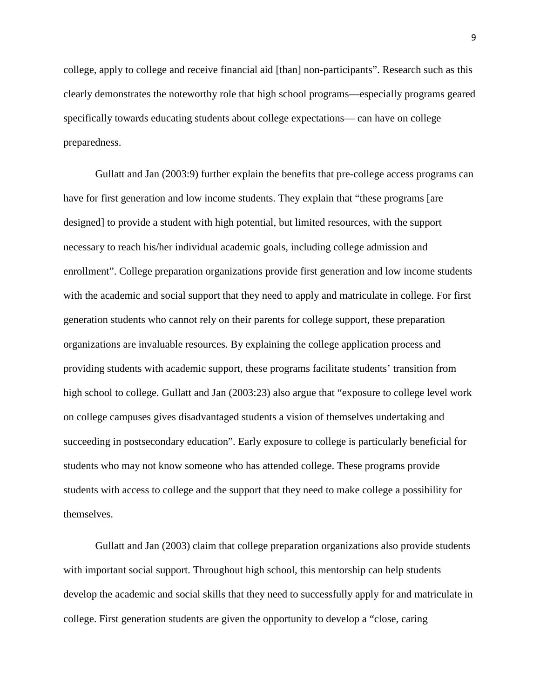college, apply to college and receive financial aid [than] non-participants". Research such as this clearly demonstrates the noteworthy role that high school programs—especially programs geared specifically towards educating students about college expectations— can have on college preparedness.

Gullatt and Jan (2003:9) further explain the benefits that pre-college access programs can have for first generation and low income students. They explain that "these programs [are designed] to provide a student with high potential, but limited resources, with the support necessary to reach his/her individual academic goals, including college admission and enrollment". College preparation organizations provide first generation and low income students with the academic and social support that they need to apply and matriculate in college. For first generation students who cannot rely on their parents for college support, these preparation organizations are invaluable resources. By explaining the college application process and providing students with academic support, these programs facilitate students' transition from high school to college. Gullatt and Jan (2003:23) also argue that "exposure to college level work on college campuses gives disadvantaged students a vision of themselves undertaking and succeeding in postsecondary education". Early exposure to college is particularly beneficial for students who may not know someone who has attended college. These programs provide students with access to college and the support that they need to make college a possibility for themselves.

Gullatt and Jan (2003) claim that college preparation organizations also provide students with important social support. Throughout high school, this mentorship can help students develop the academic and social skills that they need to successfully apply for and matriculate in college. First generation students are given the opportunity to develop a "close, caring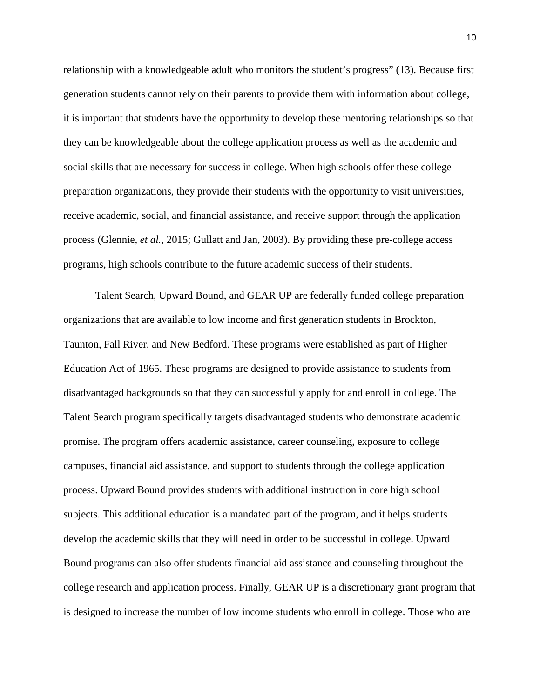relationship with a knowledgeable adult who monitors the student's progress" (13). Because first generation students cannot rely on their parents to provide them with information about college, it is important that students have the opportunity to develop these mentoring relationships so that they can be knowledgeable about the college application process as well as the academic and social skills that are necessary for success in college. When high schools offer these college preparation organizations, they provide their students with the opportunity to visit universities, receive academic, social, and financial assistance, and receive support through the application process (Glennie, *et al.*, 2015; Gullatt and Jan, 2003). By providing these pre-college access programs, high schools contribute to the future academic success of their students.

Talent Search, Upward Bound, and GEAR UP are federally funded college preparation organizations that are available to low income and first generation students in Brockton, Taunton, Fall River, and New Bedford. These programs were established as part of Higher Education Act of 1965. These programs are designed to provide assistance to students from disadvantaged backgrounds so that they can successfully apply for and enroll in college. The Talent Search program specifically targets disadvantaged students who demonstrate academic promise. The program offers academic assistance, career counseling, exposure to college campuses, financial aid assistance, and support to students through the college application process. Upward Bound provides students with additional instruction in core high school subjects. This additional education is a mandated part of the program, and it helps students develop the academic skills that they will need in order to be successful in college. Upward Bound programs can also offer students financial aid assistance and counseling throughout the college research and application process. Finally, GEAR UP is a discretionary grant program that is designed to increase the number of low income students who enroll in college. Those who are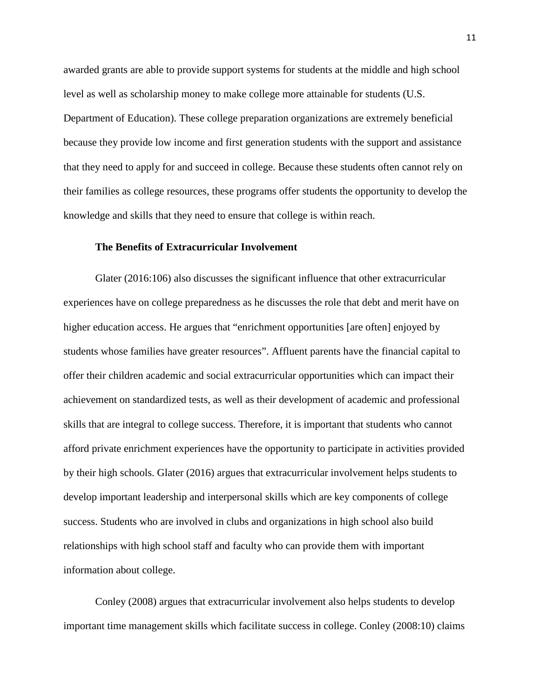awarded grants are able to provide support systems for students at the middle and high school level as well as scholarship money to make college more attainable for students (U.S. Department of Education). These college preparation organizations are extremely beneficial because they provide low income and first generation students with the support and assistance that they need to apply for and succeed in college. Because these students often cannot rely on their families as college resources, these programs offer students the opportunity to develop the knowledge and skills that they need to ensure that college is within reach.

# **The Benefits of Extracurricular Involvement**

Glater (2016:106) also discusses the significant influence that other extracurricular experiences have on college preparedness as he discusses the role that debt and merit have on higher education access. He argues that "enrichment opportunities [are often] enjoyed by students whose families have greater resources". Affluent parents have the financial capital to offer their children academic and social extracurricular opportunities which can impact their achievement on standardized tests, as well as their development of academic and professional skills that are integral to college success. Therefore, it is important that students who cannot afford private enrichment experiences have the opportunity to participate in activities provided by their high schools. Glater (2016) argues that extracurricular involvement helps students to develop important leadership and interpersonal skills which are key components of college success. Students who are involved in clubs and organizations in high school also build relationships with high school staff and faculty who can provide them with important information about college.

Conley (2008) argues that extracurricular involvement also helps students to develop important time management skills which facilitate success in college. Conley (2008:10) claims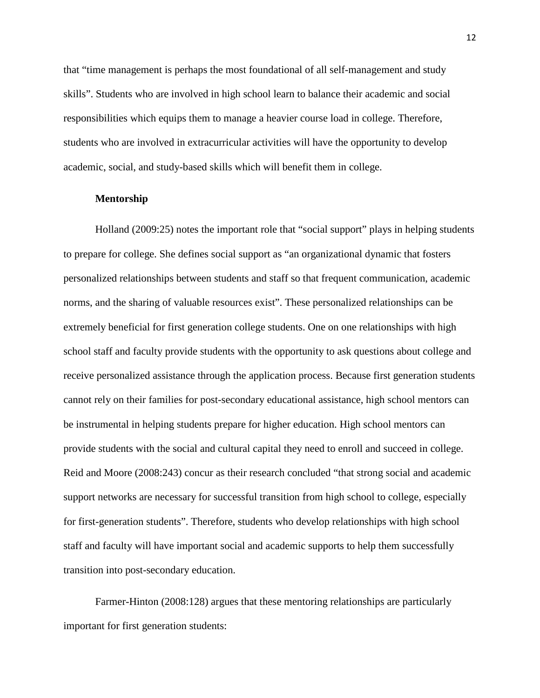that "time management is perhaps the most foundational of all self-management and study skills". Students who are involved in high school learn to balance their academic and social responsibilities which equips them to manage a heavier course load in college. Therefore, students who are involved in extracurricular activities will have the opportunity to develop academic, social, and study-based skills which will benefit them in college.

#### **Mentorship**

Holland (2009:25) notes the important role that "social support" plays in helping students to prepare for college. She defines social support as "an organizational dynamic that fosters personalized relationships between students and staff so that frequent communication, academic norms, and the sharing of valuable resources exist". These personalized relationships can be extremely beneficial for first generation college students. One on one relationships with high school staff and faculty provide students with the opportunity to ask questions about college and receive personalized assistance through the application process. Because first generation students cannot rely on their families for post-secondary educational assistance, high school mentors can be instrumental in helping students prepare for higher education. High school mentors can provide students with the social and cultural capital they need to enroll and succeed in college. Reid and Moore (2008:243) concur as their research concluded "that strong social and academic support networks are necessary for successful transition from high school to college, especially for first-generation students". Therefore, students who develop relationships with high school staff and faculty will have important social and academic supports to help them successfully transition into post-secondary education.

Farmer-Hinton (2008:128) argues that these mentoring relationships are particularly important for first generation students: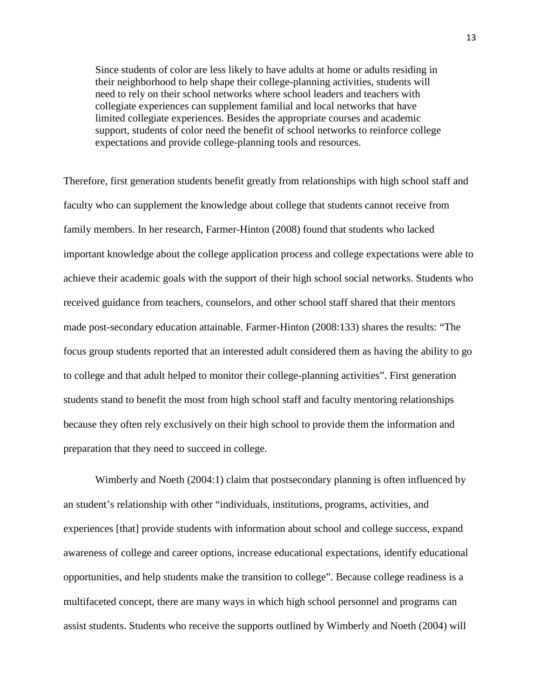Since students of color are less likely to have adults at home or adults residing in their neighborhood to help shape their college-planning activities, students will need to rely on their school networks where school leaders and teachers with collegiate experiences can supplement familial and local networks that have limited collegiate experiences. Besides the appropriate courses and academic support, students of color need the benefit of school networks to reinforce college expectations and provide college-planning tools and resources.

Therefore, first generation students benefit greatly from relationships with high school staff and faculty who can supplement the knowledge about college that students cannot receive from family members. In her research, Farmer-Hinton (2008) found that students who lacked important knowledge about the college application process and college expectations were able to achieve their academic goals with the support of their high school social networks. Students who received guidance from teachers, counselors, and other school staff shared that their mentors made post-secondary education attainable. Farmer-Hinton (2008:133) shares the results: "The focus group students reported that an interested adult considered them as having the ability to go to college and that adult helped to monitor their college-planning activities". First generation students stand to benefit the most from high school staff and faculty mentoring relationships because they often rely exclusively on their high school to provide them the information and preparation that they need to succeed in college.

Wimberly and Noeth (2004:1) claim that postsecondary planning is often influenced by an student's relationship with other "individuals, institutions, programs, activities, and experiences [that] provide students with information about school and college success, expand awareness of college and career options, increase educational expectations, identify educational opportunities, and help students make the transition to college". Because college readiness is a multifaceted concept, there are many ways in which high school personnel and programs can assist students. Students who receive the supports outlined by Wimberly and Noeth (2004) will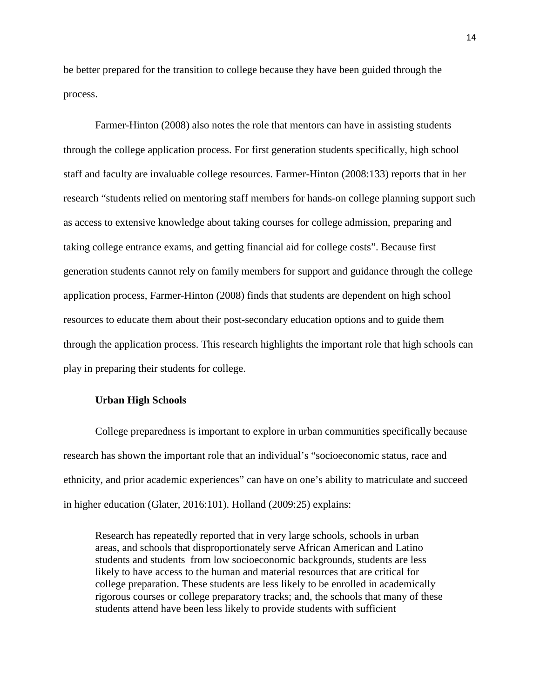be better prepared for the transition to college because they have been guided through the process.

Farmer-Hinton (2008) also notes the role that mentors can have in assisting students through the college application process. For first generation students specifically, high school staff and faculty are invaluable college resources. Farmer-Hinton (2008:133) reports that in her research "students relied on mentoring staff members for hands-on college planning support such as access to extensive knowledge about taking courses for college admission, preparing and taking college entrance exams, and getting financial aid for college costs". Because first generation students cannot rely on family members for support and guidance through the college application process, Farmer-Hinton (2008) finds that students are dependent on high school resources to educate them about their post-secondary education options and to guide them through the application process. This research highlights the important role that high schools can play in preparing their students for college.

#### **Urban High Schools**

College preparedness is important to explore in urban communities specifically because research has shown the important role that an individual's "socioeconomic status, race and ethnicity, and prior academic experiences" can have on one's ability to matriculate and succeed in higher education (Glater, 2016:101). Holland (2009:25) explains:

Research has repeatedly reported that in very large schools, schools in urban areas, and schools that disproportionately serve African American and Latino students and students from low socioeconomic backgrounds, students are less likely to have access to the human and material resources that are critical for college preparation. These students are less likely to be enrolled in academically rigorous courses or college preparatory tracks; and, the schools that many of these students attend have been less likely to provide students with sufficient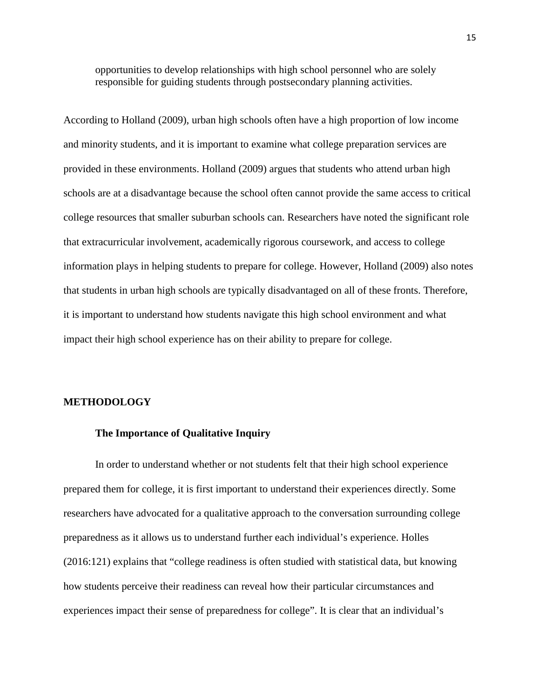opportunities to develop relationships with high school personnel who are solely responsible for guiding students through postsecondary planning activities.

According to Holland (2009), urban high schools often have a high proportion of low income and minority students, and it is important to examine what college preparation services are provided in these environments. Holland (2009) argues that students who attend urban high schools are at a disadvantage because the school often cannot provide the same access to critical college resources that smaller suburban schools can. Researchers have noted the significant role that extracurricular involvement, academically rigorous coursework, and access to college information plays in helping students to prepare for college. However, Holland (2009) also notes that students in urban high schools are typically disadvantaged on all of these fronts. Therefore, it is important to understand how students navigate this high school environment and what impact their high school experience has on their ability to prepare for college.

#### **METHODOLOGY**

#### **The Importance of Qualitative Inquiry**

In order to understand whether or not students felt that their high school experience prepared them for college, it is first important to understand their experiences directly. Some researchers have advocated for a qualitative approach to the conversation surrounding college preparedness as it allows us to understand further each individual's experience. Holles (2016:121) explains that "college readiness is often studied with statistical data, but knowing how students perceive their readiness can reveal how their particular circumstances and experiences impact their sense of preparedness for college". It is clear that an individual's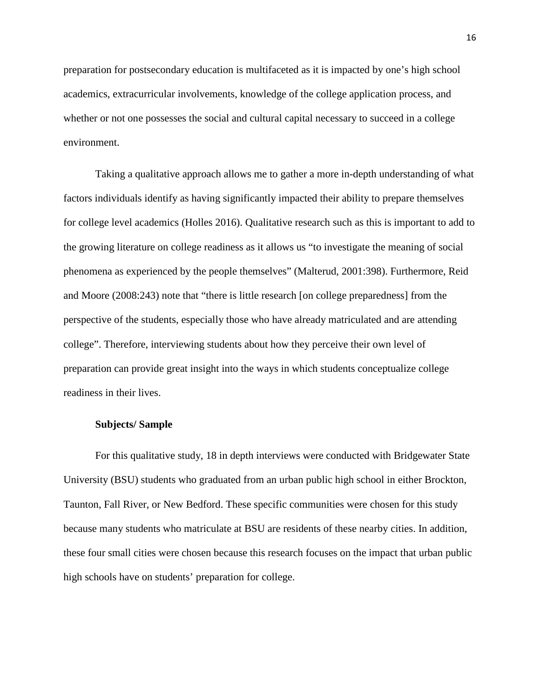preparation for postsecondary education is multifaceted as it is impacted by one's high school academics, extracurricular involvements, knowledge of the college application process, and whether or not one possesses the social and cultural capital necessary to succeed in a college environment.

Taking a qualitative approach allows me to gather a more in-depth understanding of what factors individuals identify as having significantly impacted their ability to prepare themselves for college level academics (Holles 2016). Qualitative research such as this is important to add to the growing literature on college readiness as it allows us "to investigate the meaning of social phenomena as experienced by the people themselves" (Malterud, 2001:398). Furthermore, Reid and Moore (2008:243) note that "there is little research [on college preparedness] from the perspective of the students, especially those who have already matriculated and are attending college". Therefore, interviewing students about how they perceive their own level of preparation can provide great insight into the ways in which students conceptualize college readiness in their lives.

#### **Subjects/ Sample**

For this qualitative study, 18 in depth interviews were conducted with Bridgewater State University (BSU) students who graduated from an urban public high school in either Brockton, Taunton, Fall River, or New Bedford. These specific communities were chosen for this study because many students who matriculate at BSU are residents of these nearby cities. In addition, these four small cities were chosen because this research focuses on the impact that urban public high schools have on students' preparation for college.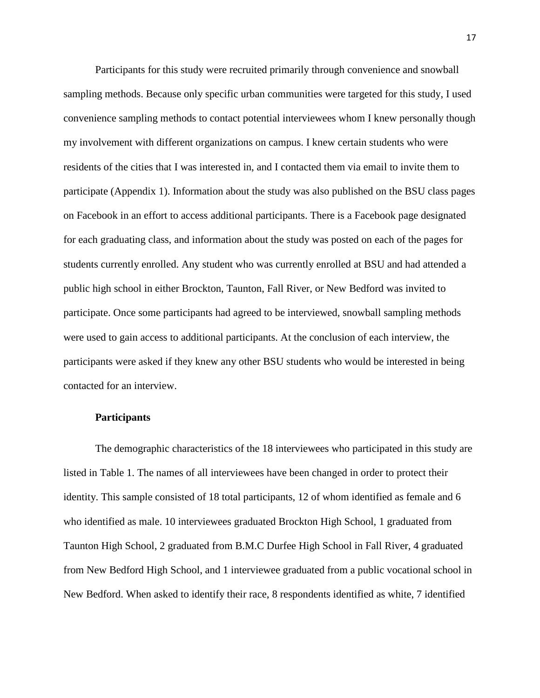Participants for this study were recruited primarily through convenience and snowball sampling methods. Because only specific urban communities were targeted for this study, I used convenience sampling methods to contact potential interviewees whom I knew personally though my involvement with different organizations on campus. I knew certain students who were residents of the cities that I was interested in, and I contacted them via email to invite them to participate (Appendix 1). Information about the study was also published on the BSU class pages on Facebook in an effort to access additional participants. There is a Facebook page designated for each graduating class, and information about the study was posted on each of the pages for students currently enrolled. Any student who was currently enrolled at BSU and had attended a public high school in either Brockton, Taunton, Fall River, or New Bedford was invited to participate. Once some participants had agreed to be interviewed, snowball sampling methods were used to gain access to additional participants. At the conclusion of each interview, the participants were asked if they knew any other BSU students who would be interested in being contacted for an interview.

#### **Participants**

The demographic characteristics of the 18 interviewees who participated in this study are listed in Table 1. The names of all interviewees have been changed in order to protect their identity. This sample consisted of 18 total participants, 12 of whom identified as female and 6 who identified as male. 10 interviewees graduated Brockton High School, 1 graduated from Taunton High School, 2 graduated from B.M.C Durfee High School in Fall River, 4 graduated from New Bedford High School, and 1 interviewee graduated from a public vocational school in New Bedford. When asked to identify their race, 8 respondents identified as white, 7 identified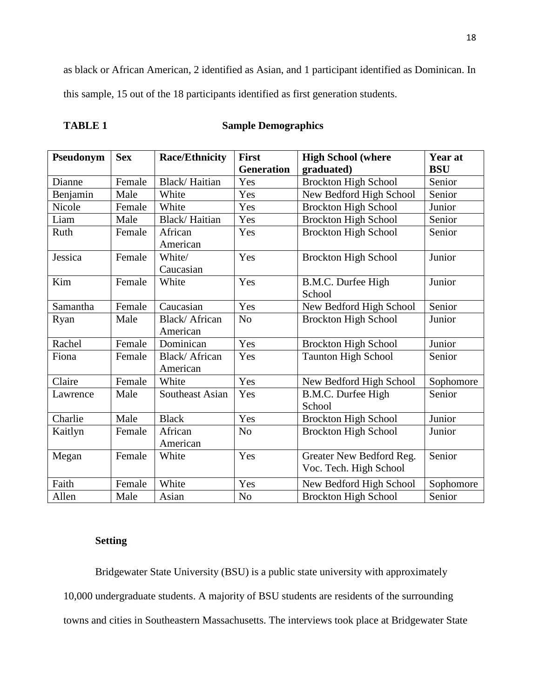as black or African American, 2 identified as Asian, and 1 participant identified as Dominican. In this sample, 15 out of the 18 participants identified as first generation students.

| \B]<br>1 J N |
|--------------|
|--------------|

# **Sample Demographics**

| Pseudonym | <b>Sex</b> | <b>Race/Ethnicity</b>  | <b>First</b>      | <b>High School (where</b>   | Year at    |
|-----------|------------|------------------------|-------------------|-----------------------------|------------|
|           |            |                        | <b>Generation</b> | graduated)                  | <b>BSU</b> |
| Dianne    | Female     | Black/Haitian          | Yes               | <b>Brockton High School</b> | Senior     |
| Benjamin  | Male       | White                  | Yes               | New Bedford High School     | Senior     |
| Nicole    | Female     | White                  | Yes               | <b>Brockton High School</b> | Junior     |
| Liam      | Male       | Black/Haitian          | Yes               | <b>Brockton High School</b> | Senior     |
| Ruth      | Female     | African                | Yes               | <b>Brockton High School</b> | Senior     |
|           |            | American               |                   |                             |            |
| Jessica   | Female     | White/                 | Yes               | <b>Brockton High School</b> | Junior     |
|           |            | Caucasian              |                   |                             |            |
| Kim       | Female     | White                  | Yes               | B.M.C. Durfee High          | Junior     |
|           |            |                        |                   | School                      |            |
| Samantha  | Female     | Caucasian              | Yes               | New Bedford High School     | Senior     |
| Ryan      | Male       | <b>Black/African</b>   | N <sub>o</sub>    | <b>Brockton High School</b> | Junior     |
|           |            | American               |                   |                             |            |
| Rachel    | Female     | Dominican              | Yes               | <b>Brockton High School</b> | Junior     |
| Fiona     | Female     | Black/African          | Yes               | Taunton High School         | Senior     |
|           |            | American               |                   |                             |            |
| Claire    | Female     | White                  | Yes               | New Bedford High School     | Sophomore  |
| Lawrence  | Male       | <b>Southeast Asian</b> | Yes               | B.M.C. Durfee High          | Senior     |
|           |            |                        |                   | School                      |            |
| Charlie   | Male       | <b>Black</b>           | Yes               | <b>Brockton High School</b> | Junior     |
| Kaitlyn   | Female     | African                | N <sub>o</sub>    | <b>Brockton High School</b> | Junior     |
|           |            | American               |                   |                             |            |
| Megan     | Female     | White                  | Yes               | Greater New Bedford Reg.    | Senior     |
|           |            |                        |                   | Voc. Tech. High School      |            |
| Faith     | Female     | White                  | Yes               | New Bedford High School     | Sophomore  |
| Allen     | Male       | Asian                  | N <sub>o</sub>    | <b>Brockton High School</b> | Senior     |

# **Setting**

Bridgewater State University (BSU) is a public state university with approximately 10,000 undergraduate students. A majority of BSU students are residents of the surrounding towns and cities in Southeastern Massachusetts. The interviews took place at Bridgewater State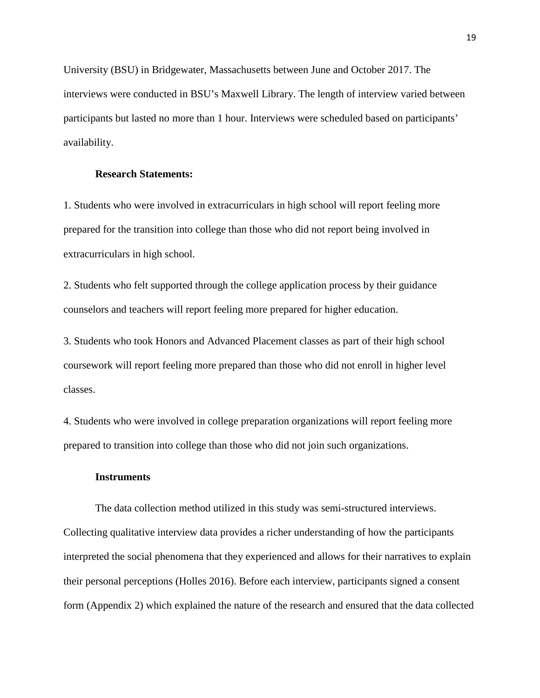University (BSU) in Bridgewater, Massachusetts between June and October 2017. The interviews were conducted in BSU's Maxwell Library. The length of interview varied between participants but lasted no more than 1 hour. Interviews were scheduled based on participants' availability.

# **Research Statements:**

1. Students who were involved in extracurriculars in high school will report feeling more prepared for the transition into college than those who did not report being involved in extracurriculars in high school.

2. Students who felt supported through the college application process by their guidance counselors and teachers will report feeling more prepared for higher education.

3. Students who took Honors and Advanced Placement classes as part of their high school coursework will report feeling more prepared than those who did not enroll in higher level classes.

4. Students who were involved in college preparation organizations will report feeling more prepared to transition into college than those who did not join such organizations.

#### **Instruments**

The data collection method utilized in this study was semi-structured interviews. Collecting qualitative interview data provides a richer understanding of how the participants interpreted the social phenomena that they experienced and allows for their narratives to explain their personal perceptions (Holles 2016). Before each interview, participants signed a consent form (Appendix 2) which explained the nature of the research and ensured that the data collected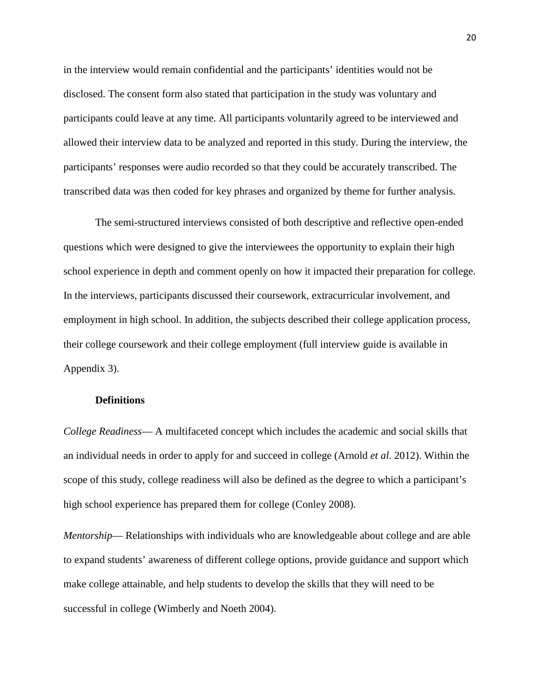in the interview would remain confidential and the participants' identities would not be disclosed. The consent form also stated that participation in the study was voluntary and participants could leave at any time. All participants voluntarily agreed to be interviewed and allowed their interview data to be analyzed and reported in this study. During the interview, the participants' responses were audio recorded so that they could be accurately transcribed. The transcribed data was then coded for key phrases and organized by theme for further analysis.

The semi-structured interviews consisted of both descriptive and reflective open-ended questions which were designed to give the interviewees the opportunity to explain their high school experience in depth and comment openly on how it impacted their preparation for college. In the interviews, participants discussed their coursework, extracurricular involvement, and employment in high school. In addition, the subjects described their college application process, their college coursework and their college employment (full interview guide is available in Appendix 3).

#### **Definitions**

*College Readiness*— A multifaceted concept which includes the academic and social skills that an individual needs in order to apply for and succeed in college (Arnold *et al.* 2012). Within the scope of this study, college readiness will also be defined as the degree to which a participant's high school experience has prepared them for college (Conley 2008).

*Mentorship*— Relationships with individuals who are knowledgeable about college and are able to expand students' awareness of different college options, provide guidance and support which make college attainable, and help students to develop the skills that they will need to be successful in college (Wimberly and Noeth 2004).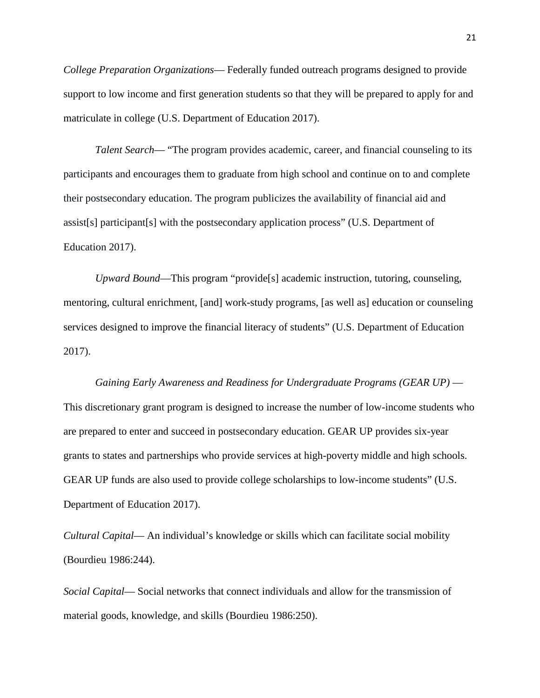*College Preparation Organizations*— Federally funded outreach programs designed to provide support to low income and first generation students so that they will be prepared to apply for and matriculate in college (U.S. Department of Education 2017).

*Talent Search*— "The program provides academic, career, and financial counseling to its participants and encourages them to graduate from high school and continue on to and complete their postsecondary education. The program publicizes the availability of financial aid and assist[s] participant[s] with the postsecondary application process" (U.S. Department of Education 2017).

*Upward Bound*—This program "provide[s] academic instruction, tutoring, counseling, mentoring, cultural enrichment, [and] work-study programs, [as well as] education or counseling services designed to improve the financial literacy of students" (U.S. Department of Education 2017).

# *Gaining Early Awareness and Readiness for Undergraduate Programs (GEAR UP)* — This discretionary grant program is designed to increase the number of low-income students who are prepared to enter and succeed in postsecondary education. GEAR UP provides six-year grants to states and partnerships who provide services at high-poverty middle and high schools. GEAR UP funds are also used to provide college scholarships to low-income students" (U.S. Department of Education 2017).

*Cultural Capital*— An individual's knowledge or skills which can facilitate social mobility (Bourdieu 1986:244).

*Social Capital*— Social networks that connect individuals and allow for the transmission of material goods, knowledge, and skills (Bourdieu 1986:250).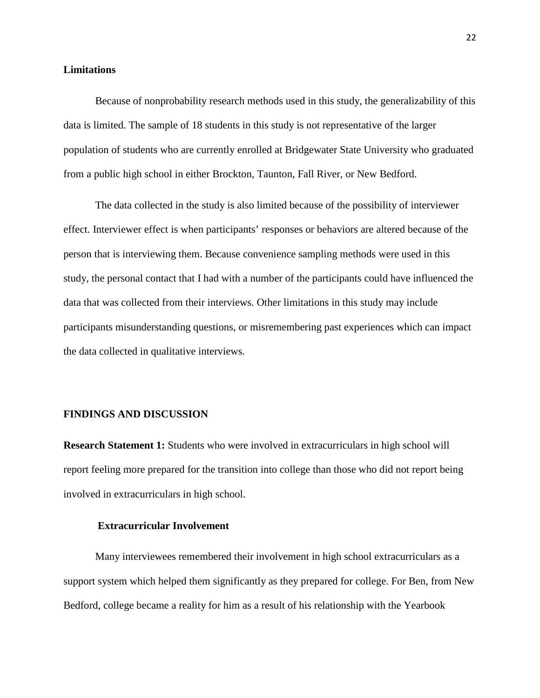#### **Limitations**

Because of nonprobability research methods used in this study, the generalizability of this data is limited. The sample of 18 students in this study is not representative of the larger population of students who are currently enrolled at Bridgewater State University who graduated from a public high school in either Brockton, Taunton, Fall River, or New Bedford.

The data collected in the study is also limited because of the possibility of interviewer effect. Interviewer effect is when participants' responses or behaviors are altered because of the person that is interviewing them. Because convenience sampling methods were used in this study, the personal contact that I had with a number of the participants could have influenced the data that was collected from their interviews. Other limitations in this study may include participants misunderstanding questions, or misremembering past experiences which can impact the data collected in qualitative interviews.

#### **FINDINGS AND DISCUSSION**

**Research Statement 1:** Students who were involved in extracurriculars in high school will report feeling more prepared for the transition into college than those who did not report being involved in extracurriculars in high school.

# **Extracurricular Involvement**

Many interviewees remembered their involvement in high school extracurriculars as a support system which helped them significantly as they prepared for college. For Ben, from New Bedford, college became a reality for him as a result of his relationship with the Yearbook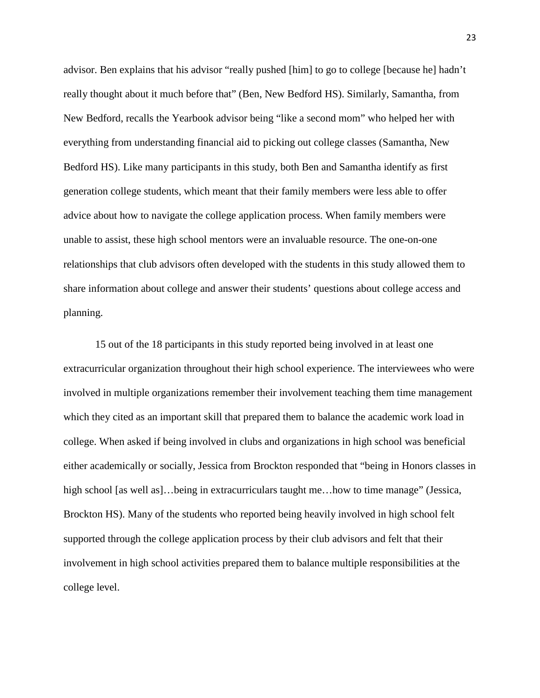advisor. Ben explains that his advisor "really pushed [him] to go to college [because he] hadn't really thought about it much before that" (Ben, New Bedford HS). Similarly, Samantha, from New Bedford, recalls the Yearbook advisor being "like a second mom" who helped her with everything from understanding financial aid to picking out college classes (Samantha, New Bedford HS). Like many participants in this study, both Ben and Samantha identify as first generation college students, which meant that their family members were less able to offer advice about how to navigate the college application process. When family members were unable to assist, these high school mentors were an invaluable resource. The one-on-one relationships that club advisors often developed with the students in this study allowed them to share information about college and answer their students' questions about college access and planning.

15 out of the 18 participants in this study reported being involved in at least one extracurricular organization throughout their high school experience. The interviewees who were involved in multiple organizations remember their involvement teaching them time management which they cited as an important skill that prepared them to balance the academic work load in college. When asked if being involved in clubs and organizations in high school was beneficial either academically or socially, Jessica from Brockton responded that "being in Honors classes in high school [as well as]…being in extracurriculars taught me…how to time manage" (Jessica, Brockton HS). Many of the students who reported being heavily involved in high school felt supported through the college application process by their club advisors and felt that their involvement in high school activities prepared them to balance multiple responsibilities at the college level.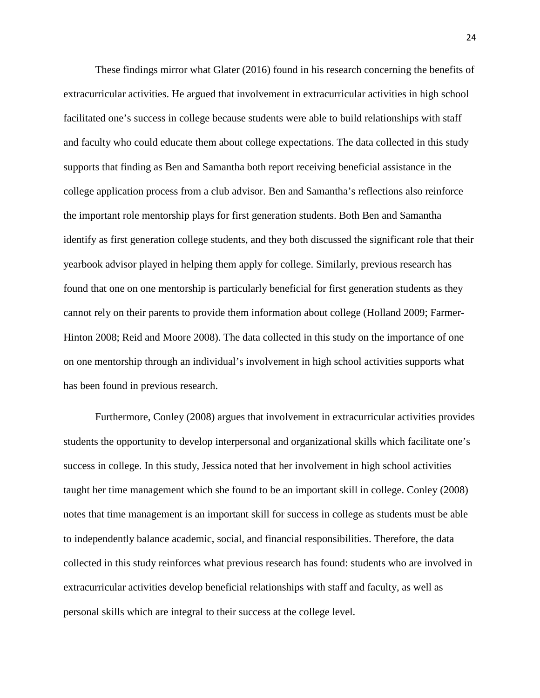These findings mirror what Glater (2016) found in his research concerning the benefits of extracurricular activities. He argued that involvement in extracurricular activities in high school facilitated one's success in college because students were able to build relationships with staff and faculty who could educate them about college expectations. The data collected in this study supports that finding as Ben and Samantha both report receiving beneficial assistance in the college application process from a club advisor. Ben and Samantha's reflections also reinforce the important role mentorship plays for first generation students. Both Ben and Samantha identify as first generation college students, and they both discussed the significant role that their yearbook advisor played in helping them apply for college. Similarly, previous research has found that one on one mentorship is particularly beneficial for first generation students as they cannot rely on their parents to provide them information about college (Holland 2009; Farmer-Hinton 2008; Reid and Moore 2008). The data collected in this study on the importance of one on one mentorship through an individual's involvement in high school activities supports what has been found in previous research.

Furthermore, Conley (2008) argues that involvement in extracurricular activities provides students the opportunity to develop interpersonal and organizational skills which facilitate one's success in college. In this study, Jessica noted that her involvement in high school activities taught her time management which she found to be an important skill in college. Conley (2008) notes that time management is an important skill for success in college as students must be able to independently balance academic, social, and financial responsibilities. Therefore, the data collected in this study reinforces what previous research has found: students who are involved in extracurricular activities develop beneficial relationships with staff and faculty, as well as personal skills which are integral to their success at the college level.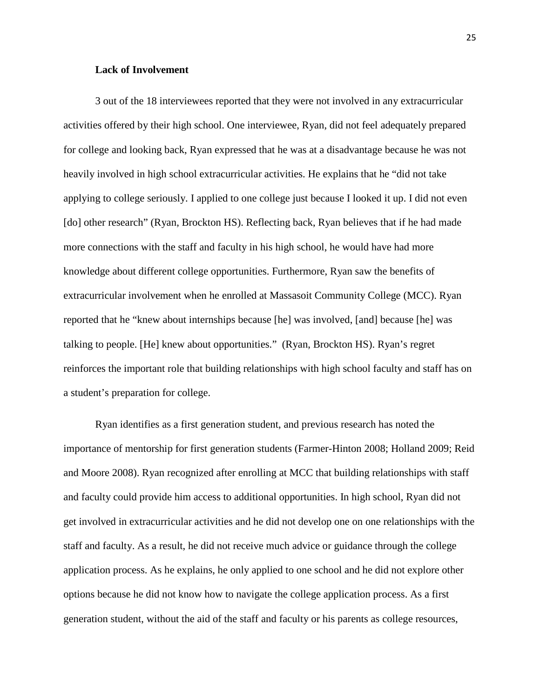#### **Lack of Involvement**

3 out of the 18 interviewees reported that they were not involved in any extracurricular activities offered by their high school. One interviewee, Ryan, did not feel adequately prepared for college and looking back, Ryan expressed that he was at a disadvantage because he was not heavily involved in high school extracurricular activities. He explains that he "did not take applying to college seriously. I applied to one college just because I looked it up. I did not even [do] other research" (Ryan, Brockton HS). Reflecting back, Ryan believes that if he had made more connections with the staff and faculty in his high school, he would have had more knowledge about different college opportunities. Furthermore, Ryan saw the benefits of extracurricular involvement when he enrolled at Massasoit Community College (MCC). Ryan reported that he "knew about internships because [he] was involved, [and] because [he] was talking to people. [He] knew about opportunities." (Ryan, Brockton HS). Ryan's regret reinforces the important role that building relationships with high school faculty and staff has on a student's preparation for college.

Ryan identifies as a first generation student, and previous research has noted the importance of mentorship for first generation students (Farmer-Hinton 2008; Holland 2009; Reid and Moore 2008). Ryan recognized after enrolling at MCC that building relationships with staff and faculty could provide him access to additional opportunities. In high school, Ryan did not get involved in extracurricular activities and he did not develop one on one relationships with the staff and faculty. As a result, he did not receive much advice or guidance through the college application process. As he explains, he only applied to one school and he did not explore other options because he did not know how to navigate the college application process. As a first generation student, without the aid of the staff and faculty or his parents as college resources,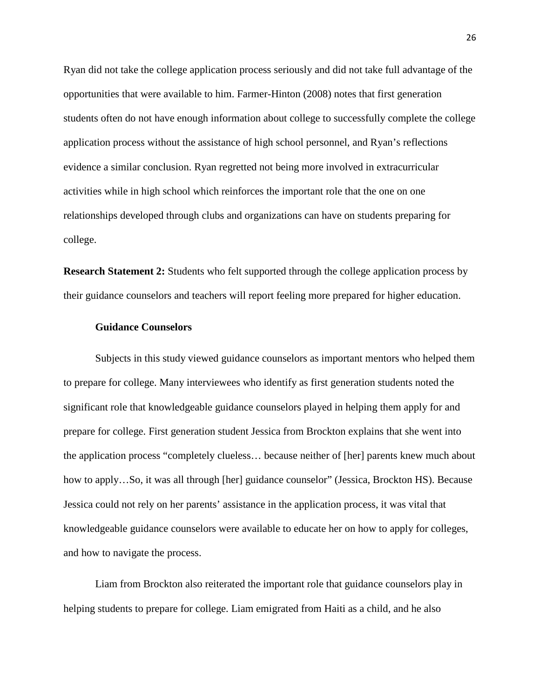Ryan did not take the college application process seriously and did not take full advantage of the opportunities that were available to him. Farmer-Hinton (2008) notes that first generation students often do not have enough information about college to successfully complete the college application process without the assistance of high school personnel, and Ryan's reflections evidence a similar conclusion. Ryan regretted not being more involved in extracurricular activities while in high school which reinforces the important role that the one on one relationships developed through clubs and organizations can have on students preparing for college.

**Research Statement 2:** Students who felt supported through the college application process by their guidance counselors and teachers will report feeling more prepared for higher education.

#### **Guidance Counselors**

Subjects in this study viewed guidance counselors as important mentors who helped them to prepare for college. Many interviewees who identify as first generation students noted the significant role that knowledgeable guidance counselors played in helping them apply for and prepare for college. First generation student Jessica from Brockton explains that she went into the application process "completely clueless… because neither of [her] parents knew much about how to apply...So, it was all through [her] guidance counselor" (Jessica, Brockton HS). Because Jessica could not rely on her parents' assistance in the application process, it was vital that knowledgeable guidance counselors were available to educate her on how to apply for colleges, and how to navigate the process.

Liam from Brockton also reiterated the important role that guidance counselors play in helping students to prepare for college. Liam emigrated from Haiti as a child, and he also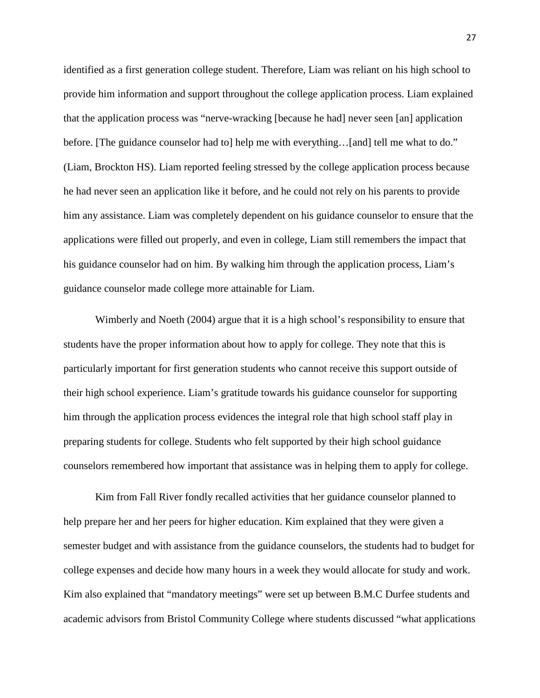identified as a first generation college student. Therefore, Liam was reliant on his high school to provide him information and support throughout the college application process. Liam explained that the application process was "nerve-wracking [because he had] never seen [an] application before. [The guidance counselor had to] help me with everything...[and] tell me what to do." (Liam, Brockton HS). Liam reported feeling stressed by the college application process because he had never seen an application like it before, and he could not rely on his parents to provide him any assistance. Liam was completely dependent on his guidance counselor to ensure that the applications were filled out properly, and even in college, Liam still remembers the impact that his guidance counselor had on him. By walking him through the application process, Liam's guidance counselor made college more attainable for Liam.

Wimberly and Noeth (2004) argue that it is a high school's responsibility to ensure that students have the proper information about how to apply for college. They note that this is particularly important for first generation students who cannot receive this support outside of their high school experience. Liam's gratitude towards his guidance counselor for supporting him through the application process evidences the integral role that high school staff play in preparing students for college. Students who felt supported by their high school guidance counselors remembered how important that assistance was in helping them to apply for college.

Kim from Fall River fondly recalled activities that her guidance counselor planned to help prepare her and her peers for higher education. Kim explained that they were given a semester budget and with assistance from the guidance counselors, the students had to budget for college expenses and decide how many hours in a week they would allocate for study and work. Kim also explained that "mandatory meetings" were set up between B.M.C Durfee students and academic advisors from Bristol Community College where students discussed "what applications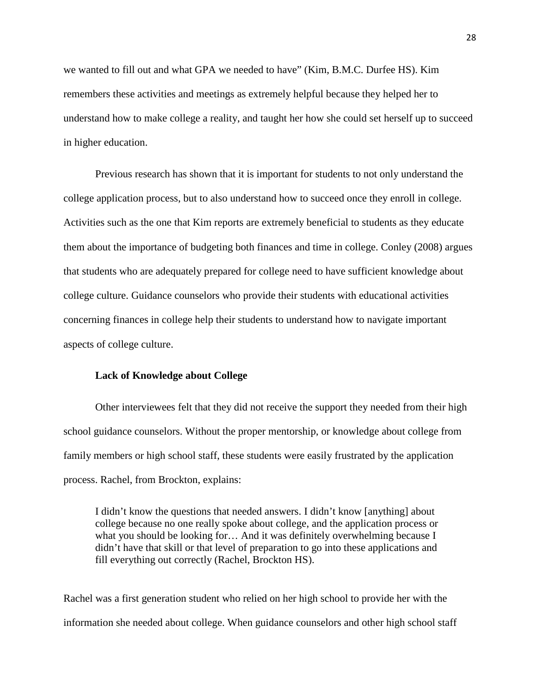we wanted to fill out and what GPA we needed to have" (Kim, B.M.C. Durfee HS). Kim remembers these activities and meetings as extremely helpful because they helped her to understand how to make college a reality, and taught her how she could set herself up to succeed in higher education.

Previous research has shown that it is important for students to not only understand the college application process, but to also understand how to succeed once they enroll in college. Activities such as the one that Kim reports are extremely beneficial to students as they educate them about the importance of budgeting both finances and time in college. Conley (2008) argues that students who are adequately prepared for college need to have sufficient knowledge about college culture. Guidance counselors who provide their students with educational activities concerning finances in college help their students to understand how to navigate important aspects of college culture.

#### **Lack of Knowledge about College**

Other interviewees felt that they did not receive the support they needed from their high school guidance counselors. Without the proper mentorship, or knowledge about college from family members or high school staff, these students were easily frustrated by the application process. Rachel, from Brockton, explains:

I didn't know the questions that needed answers. I didn't know [anything] about college because no one really spoke about college, and the application process or what you should be looking for… And it was definitely overwhelming because I didn't have that skill or that level of preparation to go into these applications and fill everything out correctly (Rachel, Brockton HS).

Rachel was a first generation student who relied on her high school to provide her with the information she needed about college. When guidance counselors and other high school staff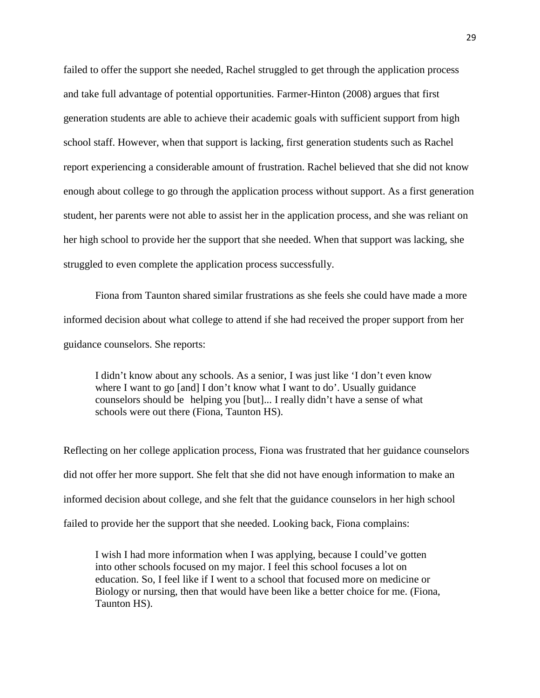failed to offer the support she needed, Rachel struggled to get through the application process and take full advantage of potential opportunities. Farmer-Hinton (2008) argues that first generation students are able to achieve their academic goals with sufficient support from high school staff. However, when that support is lacking, first generation students such as Rachel report experiencing a considerable amount of frustration. Rachel believed that she did not know enough about college to go through the application process without support. As a first generation student, her parents were not able to assist her in the application process, and she was reliant on her high school to provide her the support that she needed. When that support was lacking, she struggled to even complete the application process successfully.

Fiona from Taunton shared similar frustrations as she feels she could have made a more informed decision about what college to attend if she had received the proper support from her guidance counselors. She reports:

I didn't know about any schools. As a senior, I was just like 'I don't even know where I want to go [and] I don't know what I want to do'. Usually guidance counselors should be helping you [but]... I really didn't have a sense of what schools were out there (Fiona, Taunton HS).

Reflecting on her college application process, Fiona was frustrated that her guidance counselors did not offer her more support. She felt that she did not have enough information to make an informed decision about college, and she felt that the guidance counselors in her high school failed to provide her the support that she needed. Looking back, Fiona complains:

I wish I had more information when I was applying, because I could've gotten into other schools focused on my major. I feel this school focuses a lot on education. So, I feel like if I went to a school that focused more on medicine or Biology or nursing, then that would have been like a better choice for me. (Fiona, Taunton HS).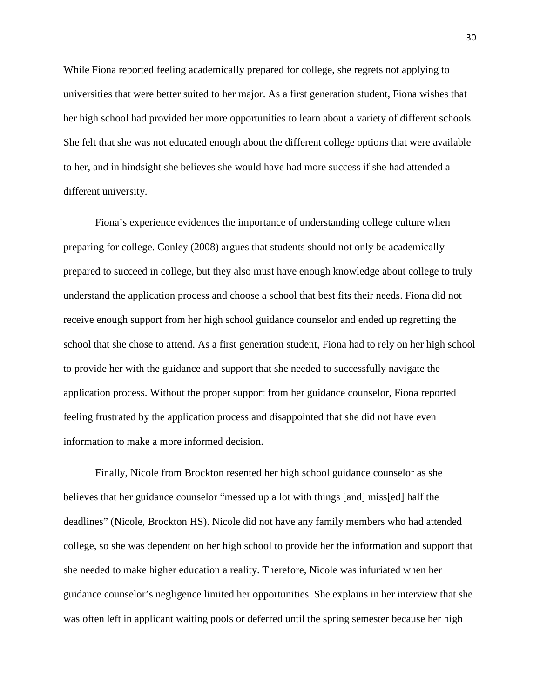While Fiona reported feeling academically prepared for college, she regrets not applying to universities that were better suited to her major. As a first generation student, Fiona wishes that her high school had provided her more opportunities to learn about a variety of different schools. She felt that she was not educated enough about the different college options that were available to her, and in hindsight she believes she would have had more success if she had attended a different university.

Fiona's experience evidences the importance of understanding college culture when preparing for college. Conley (2008) argues that students should not only be academically prepared to succeed in college, but they also must have enough knowledge about college to truly understand the application process and choose a school that best fits their needs. Fiona did not receive enough support from her high school guidance counselor and ended up regretting the school that she chose to attend. As a first generation student, Fiona had to rely on her high school to provide her with the guidance and support that she needed to successfully navigate the application process. Without the proper support from her guidance counselor, Fiona reported feeling frustrated by the application process and disappointed that she did not have even information to make a more informed decision.

Finally, Nicole from Brockton resented her high school guidance counselor as she believes that her guidance counselor "messed up a lot with things [and] miss[ed] half the deadlines" (Nicole, Brockton HS). Nicole did not have any family members who had attended college, so she was dependent on her high school to provide her the information and support that she needed to make higher education a reality. Therefore, Nicole was infuriated when her guidance counselor's negligence limited her opportunities. She explains in her interview that she was often left in applicant waiting pools or deferred until the spring semester because her high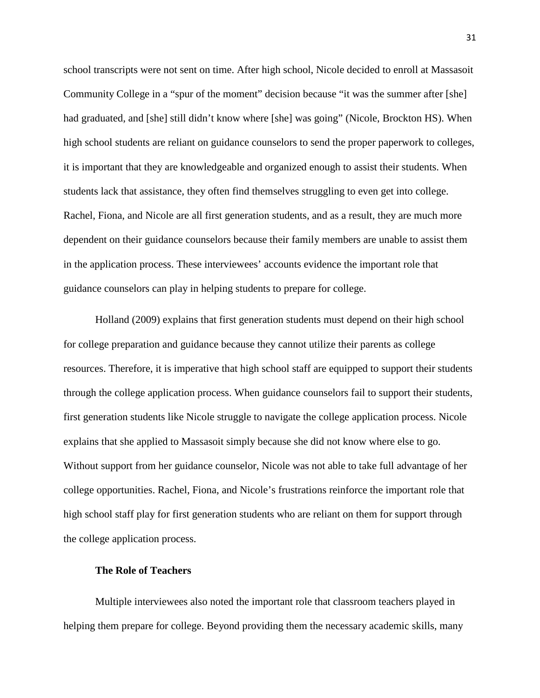school transcripts were not sent on time. After high school, Nicole decided to enroll at Massasoit Community College in a "spur of the moment" decision because "it was the summer after [she] had graduated, and [she] still didn't know where [she] was going" (Nicole, Brockton HS). When high school students are reliant on guidance counselors to send the proper paperwork to colleges, it is important that they are knowledgeable and organized enough to assist their students. When students lack that assistance, they often find themselves struggling to even get into college. Rachel, Fiona, and Nicole are all first generation students, and as a result, they are much more dependent on their guidance counselors because their family members are unable to assist them in the application process. These interviewees' accounts evidence the important role that guidance counselors can play in helping students to prepare for college.

Holland (2009) explains that first generation students must depend on their high school for college preparation and guidance because they cannot utilize their parents as college resources. Therefore, it is imperative that high school staff are equipped to support their students through the college application process. When guidance counselors fail to support their students, first generation students like Nicole struggle to navigate the college application process. Nicole explains that she applied to Massasoit simply because she did not know where else to go. Without support from her guidance counselor, Nicole was not able to take full advantage of her college opportunities. Rachel, Fiona, and Nicole's frustrations reinforce the important role that high school staff play for first generation students who are reliant on them for support through the college application process.

# **The Role of Teachers**

Multiple interviewees also noted the important role that classroom teachers played in helping them prepare for college. Beyond providing them the necessary academic skills, many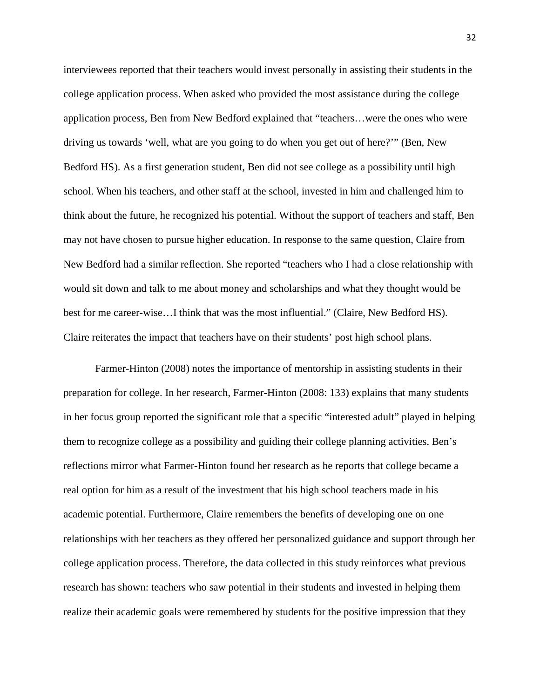interviewees reported that their teachers would invest personally in assisting their students in the college application process. When asked who provided the most assistance during the college application process, Ben from New Bedford explained that "teachers…were the ones who were driving us towards 'well, what are you going to do when you get out of here?'" (Ben, New Bedford HS). As a first generation student, Ben did not see college as a possibility until high school. When his teachers, and other staff at the school, invested in him and challenged him to think about the future, he recognized his potential. Without the support of teachers and staff, Ben may not have chosen to pursue higher education. In response to the same question, Claire from New Bedford had a similar reflection. She reported "teachers who I had a close relationship with would sit down and talk to me about money and scholarships and what they thought would be best for me career-wise…I think that was the most influential." (Claire, New Bedford HS). Claire reiterates the impact that teachers have on their students' post high school plans.

Farmer-Hinton (2008) notes the importance of mentorship in assisting students in their preparation for college. In her research, Farmer-Hinton (2008: 133) explains that many students in her focus group reported the significant role that a specific "interested adult" played in helping them to recognize college as a possibility and guiding their college planning activities. Ben's reflections mirror what Farmer-Hinton found her research as he reports that college became a real option for him as a result of the investment that his high school teachers made in his academic potential. Furthermore, Claire remembers the benefits of developing one on one relationships with her teachers as they offered her personalized guidance and support through her college application process. Therefore, the data collected in this study reinforces what previous research has shown: teachers who saw potential in their students and invested in helping them realize their academic goals were remembered by students for the positive impression that they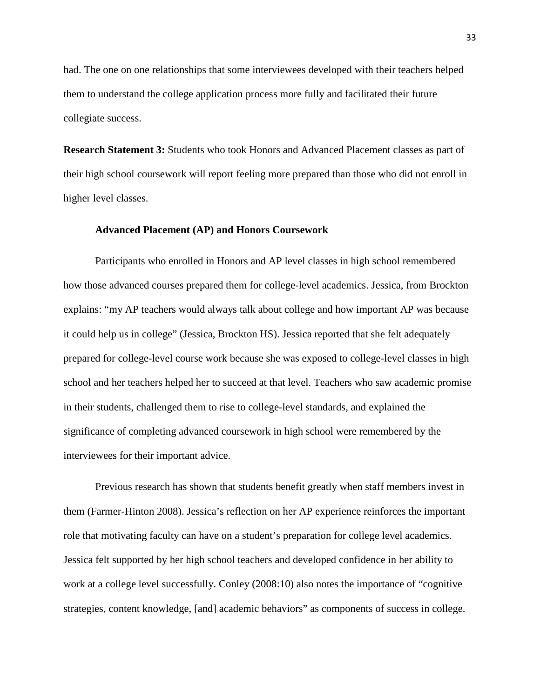had. The one on one relationships that some interviewees developed with their teachers helped them to understand the college application process more fully and facilitated their future collegiate success.

**Research Statement 3:** Students who took Honors and Advanced Placement classes as part of their high school coursework will report feeling more prepared than those who did not enroll in higher level classes.

#### **Advanced Placement (AP) and Honors Coursework**

Participants who enrolled in Honors and AP level classes in high school remembered how those advanced courses prepared them for college-level academics. Jessica, from Brockton explains: "my AP teachers would always talk about college and how important AP was because it could help us in college" (Jessica, Brockton HS). Jessica reported that she felt adequately prepared for college-level course work because she was exposed to college-level classes in high school and her teachers helped her to succeed at that level. Teachers who saw academic promise in their students, challenged them to rise to college-level standards, and explained the significance of completing advanced coursework in high school were remembered by the interviewees for their important advice.

Previous research has shown that students benefit greatly when staff members invest in them (Farmer-Hinton 2008). Jessica's reflection on her AP experience reinforces the important role that motivating faculty can have on a student's preparation for college level academics. Jessica felt supported by her high school teachers and developed confidence in her ability to work at a college level successfully. Conley (2008:10) also notes the importance of "cognitive strategies, content knowledge, [and] academic behaviors" as components of success in college.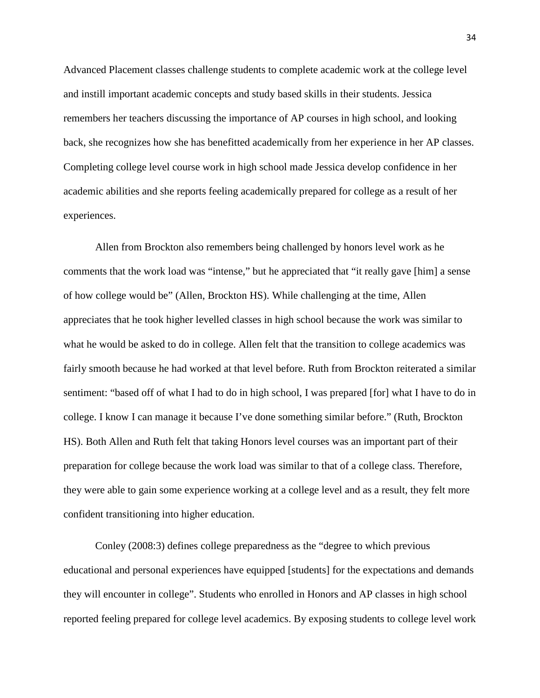Advanced Placement classes challenge students to complete academic work at the college level and instill important academic concepts and study based skills in their students. Jessica remembers her teachers discussing the importance of AP courses in high school, and looking back, she recognizes how she has benefitted academically from her experience in her AP classes. Completing college level course work in high school made Jessica develop confidence in her academic abilities and she reports feeling academically prepared for college as a result of her experiences.

Allen from Brockton also remembers being challenged by honors level work as he comments that the work load was "intense," but he appreciated that "it really gave [him] a sense of how college would be" (Allen, Brockton HS). While challenging at the time, Allen appreciates that he took higher levelled classes in high school because the work was similar to what he would be asked to do in college. Allen felt that the transition to college academics was fairly smooth because he had worked at that level before. Ruth from Brockton reiterated a similar sentiment: "based off of what I had to do in high school, I was prepared [for] what I have to do in college. I know I can manage it because I've done something similar before." (Ruth, Brockton HS). Both Allen and Ruth felt that taking Honors level courses was an important part of their preparation for college because the work load was similar to that of a college class. Therefore, they were able to gain some experience working at a college level and as a result, they felt more confident transitioning into higher education.

Conley (2008:3) defines college preparedness as the "degree to which previous educational and personal experiences have equipped [students] for the expectations and demands they will encounter in college". Students who enrolled in Honors and AP classes in high school reported feeling prepared for college level academics. By exposing students to college level work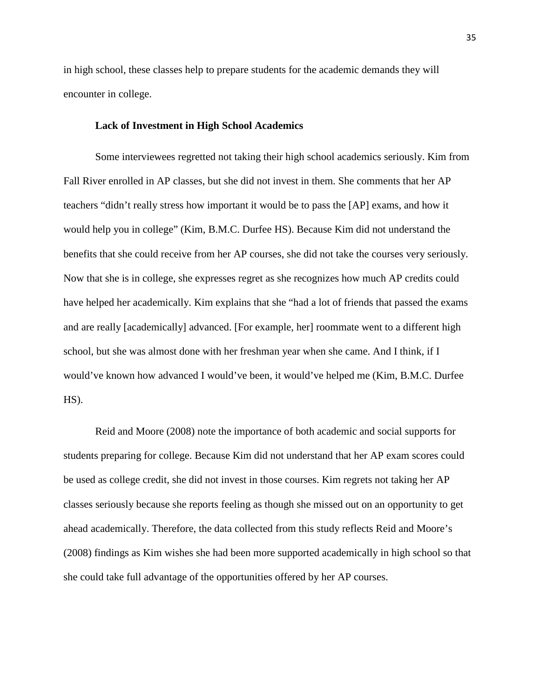in high school, these classes help to prepare students for the academic demands they will encounter in college.

# **Lack of Investment in High School Academics**

Some interviewees regretted not taking their high school academics seriously. Kim from Fall River enrolled in AP classes, but she did not invest in them. She comments that her AP teachers "didn't really stress how important it would be to pass the [AP] exams, and how it would help you in college" (Kim, B.M.C. Durfee HS). Because Kim did not understand the benefits that she could receive from her AP courses, she did not take the courses very seriously. Now that she is in college, she expresses regret as she recognizes how much AP credits could have helped her academically. Kim explains that she "had a lot of friends that passed the exams and are really [academically] advanced. [For example, her] roommate went to a different high school, but she was almost done with her freshman year when she came. And I think, if I would've known how advanced I would've been, it would've helped me (Kim, B.M.C. Durfee  $HS$ ).

Reid and Moore (2008) note the importance of both academic and social supports for students preparing for college. Because Kim did not understand that her AP exam scores could be used as college credit, she did not invest in those courses. Kim regrets not taking her AP classes seriously because she reports feeling as though she missed out on an opportunity to get ahead academically. Therefore, the data collected from this study reflects Reid and Moore's (2008) findings as Kim wishes she had been more supported academically in high school so that she could take full advantage of the opportunities offered by her AP courses.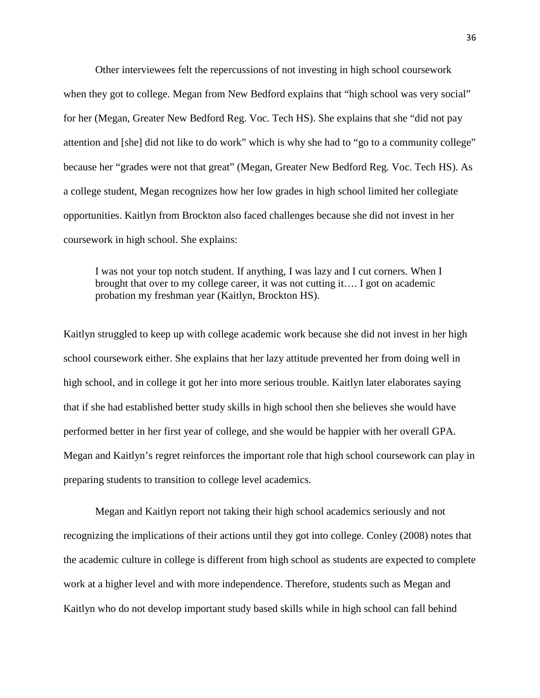Other interviewees felt the repercussions of not investing in high school coursework when they got to college. Megan from New Bedford explains that "high school was very social" for her (Megan, Greater New Bedford Reg. Voc. Tech HS). She explains that she "did not pay attention and [she] did not like to do work" which is why she had to "go to a community college" because her "grades were not that great" (Megan, Greater New Bedford Reg. Voc. Tech HS). As a college student, Megan recognizes how her low grades in high school limited her collegiate opportunities. Kaitlyn from Brockton also faced challenges because she did not invest in her coursework in high school. She explains:

I was not your top notch student. If anything, I was lazy and I cut corners. When I brought that over to my college career, it was not cutting it…. I got on academic probation my freshman year (Kaitlyn, Brockton HS).

Kaitlyn struggled to keep up with college academic work because she did not invest in her high school coursework either. She explains that her lazy attitude prevented her from doing well in high school, and in college it got her into more serious trouble. Kaitlyn later elaborates saying that if she had established better study skills in high school then she believes she would have performed better in her first year of college, and she would be happier with her overall GPA. Megan and Kaitlyn's regret reinforces the important role that high school coursework can play in preparing students to transition to college level academics.

Megan and Kaitlyn report not taking their high school academics seriously and not recognizing the implications of their actions until they got into college. Conley (2008) notes that the academic culture in college is different from high school as students are expected to complete work at a higher level and with more independence. Therefore, students such as Megan and Kaitlyn who do not develop important study based skills while in high school can fall behind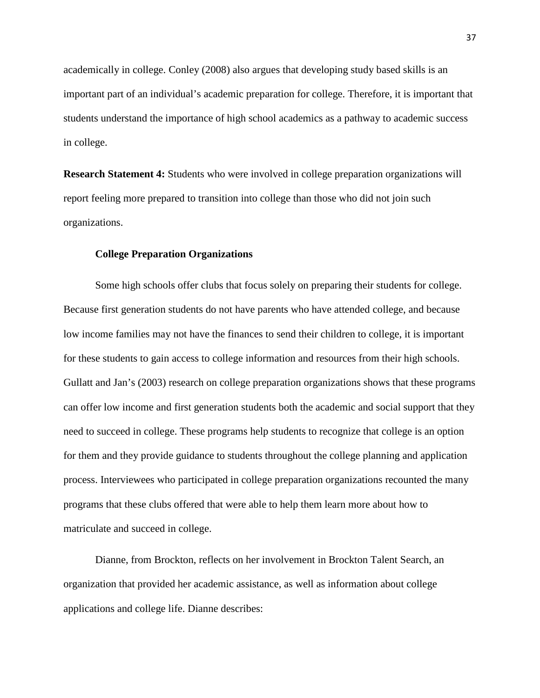academically in college. Conley (2008) also argues that developing study based skills is an important part of an individual's academic preparation for college. Therefore, it is important that students understand the importance of high school academics as a pathway to academic success in college.

**Research Statement 4:** Students who were involved in college preparation organizations will report feeling more prepared to transition into college than those who did not join such organizations.

#### **College Preparation Organizations**

Some high schools offer clubs that focus solely on preparing their students for college. Because first generation students do not have parents who have attended college, and because low income families may not have the finances to send their children to college, it is important for these students to gain access to college information and resources from their high schools. Gullatt and Jan's (2003) research on college preparation organizations shows that these programs can offer low income and first generation students both the academic and social support that they need to succeed in college. These programs help students to recognize that college is an option for them and they provide guidance to students throughout the college planning and application process. Interviewees who participated in college preparation organizations recounted the many programs that these clubs offered that were able to help them learn more about how to matriculate and succeed in college.

Dianne, from Brockton, reflects on her involvement in Brockton Talent Search, an organization that provided her academic assistance, as well as information about college applications and college life. Dianne describes: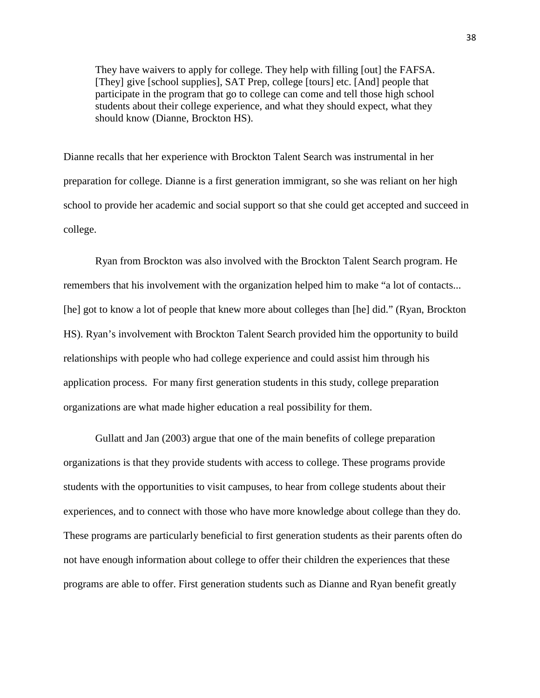They have waivers to apply for college. They help with filling [out] the FAFSA. [They] give [school supplies], SAT Prep, college [tours] etc. [And] people that participate in the program that go to college can come and tell those high school students about their college experience, and what they should expect, what they should know (Dianne, Brockton HS).

Dianne recalls that her experience with Brockton Talent Search was instrumental in her preparation for college. Dianne is a first generation immigrant, so she was reliant on her high school to provide her academic and social support so that she could get accepted and succeed in college.

Ryan from Brockton was also involved with the Brockton Talent Search program. He remembers that his involvement with the organization helped him to make "a lot of contacts... [he] got to know a lot of people that knew more about colleges than [he] did." (Ryan, Brockton HS). Ryan's involvement with Brockton Talent Search provided him the opportunity to build relationships with people who had college experience and could assist him through his application process. For many first generation students in this study, college preparation organizations are what made higher education a real possibility for them.

Gullatt and Jan (2003) argue that one of the main benefits of college preparation organizations is that they provide students with access to college. These programs provide students with the opportunities to visit campuses, to hear from college students about their experiences, and to connect with those who have more knowledge about college than they do. These programs are particularly beneficial to first generation students as their parents often do not have enough information about college to offer their children the experiences that these programs are able to offer. First generation students such as Dianne and Ryan benefit greatly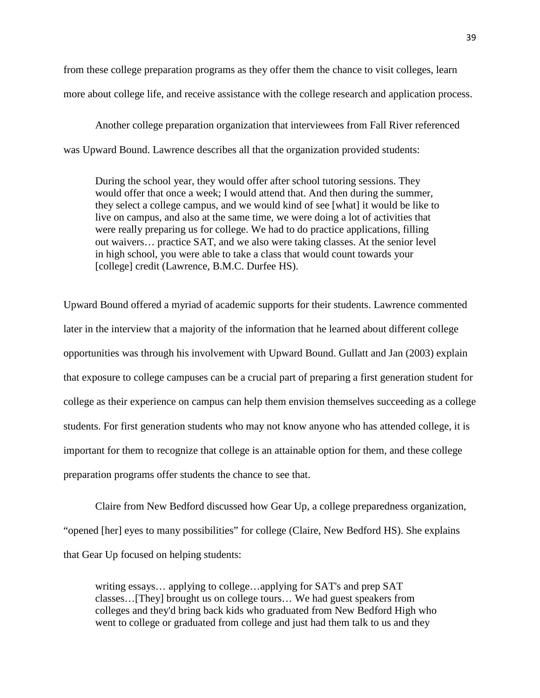from these college preparation programs as they offer them the chance to visit colleges, learn more about college life, and receive assistance with the college research and application process.

Another college preparation organization that interviewees from Fall River referenced was Upward Bound. Lawrence describes all that the organization provided students:

During the school year, they would offer after school tutoring sessions. They would offer that once a week; I would attend that. And then during the summer, they select a college campus, and we would kind of see [what] it would be like to live on campus, and also at the same time, we were doing a lot of activities that were really preparing us for college. We had to do practice applications, filling out waivers… practice SAT, and we also were taking classes. At the senior level in high school, you were able to take a class that would count towards your [college] credit (Lawrence, B.M.C. Durfee HS).

Upward Bound offered a myriad of academic supports for their students. Lawrence commented later in the interview that a majority of the information that he learned about different college opportunities was through his involvement with Upward Bound. Gullatt and Jan (2003) explain that exposure to college campuses can be a crucial part of preparing a first generation student for college as their experience on campus can help them envision themselves succeeding as a college students. For first generation students who may not know anyone who has attended college, it is important for them to recognize that college is an attainable option for them, and these college preparation programs offer students the chance to see that.

Claire from New Bedford discussed how Gear Up, a college preparedness organization, "opened [her] eyes to many possibilities" for college (Claire, New Bedford HS). She explains that Gear Up focused on helping students:

writing essays… applying to college…applying for SAT's and prep SAT classes…[They] brought us on college tours… We had guest speakers from colleges and they'd bring back kids who graduated from New Bedford High who went to college or graduated from college and just had them talk to us and they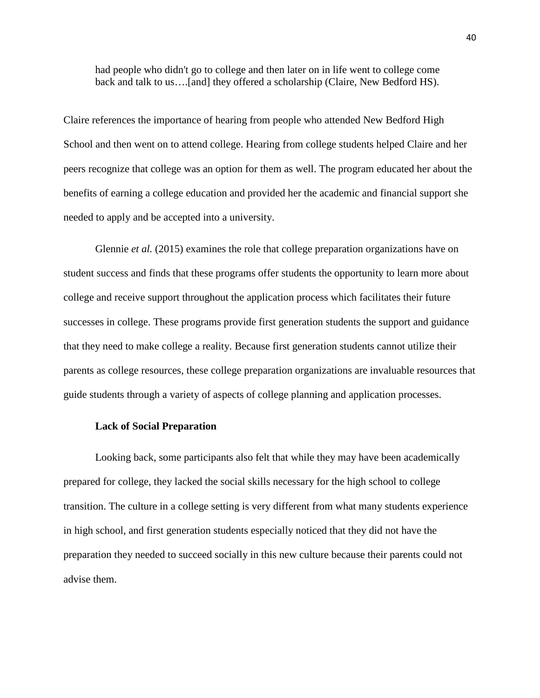had people who didn't go to college and then later on in life went to college come back and talk to us….[and] they offered a scholarship (Claire, New Bedford HS).

Claire references the importance of hearing from people who attended New Bedford High School and then went on to attend college. Hearing from college students helped Claire and her peers recognize that college was an option for them as well. The program educated her about the benefits of earning a college education and provided her the academic and financial support she needed to apply and be accepted into a university.

Glennie *et al.* (2015) examines the role that college preparation organizations have on student success and finds that these programs offer students the opportunity to learn more about college and receive support throughout the application process which facilitates their future successes in college. These programs provide first generation students the support and guidance that they need to make college a reality. Because first generation students cannot utilize their parents as college resources, these college preparation organizations are invaluable resources that guide students through a variety of aspects of college planning and application processes.

#### **Lack of Social Preparation**

Looking back, some participants also felt that while they may have been academically prepared for college, they lacked the social skills necessary for the high school to college transition. The culture in a college setting is very different from what many students experience in high school, and first generation students especially noticed that they did not have the preparation they needed to succeed socially in this new culture because their parents could not advise them.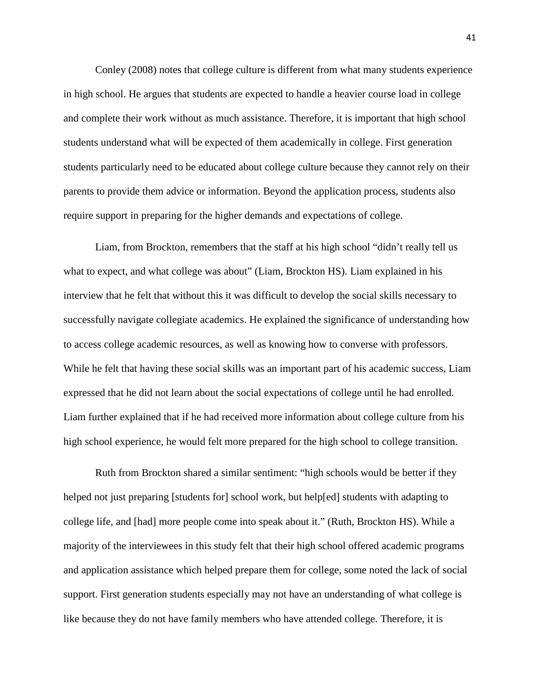Conley (2008) notes that college culture is different from what many students experience in high school. He argues that students are expected to handle a heavier course load in college and complete their work without as much assistance. Therefore, it is important that high school students understand what will be expected of them academically in college. First generation students particularly need to be educated about college culture because they cannot rely on their parents to provide them advice or information. Beyond the application process, students also require support in preparing for the higher demands and expectations of college.

Liam, from Brockton, remembers that the staff at his high school "didn't really tell us what to expect, and what college was about" (Liam, Brockton HS). Liam explained in his interview that he felt that without this it was difficult to develop the social skills necessary to successfully navigate collegiate academics. He explained the significance of understanding how to access college academic resources, as well as knowing how to converse with professors. While he felt that having these social skills was an important part of his academic success, Liam expressed that he did not learn about the social expectations of college until he had enrolled. Liam further explained that if he had received more information about college culture from his high school experience, he would felt more prepared for the high school to college transition.

Ruth from Brockton shared a similar sentiment: "high schools would be better if they helped not just preparing [students for] school work, but help[ed] students with adapting to college life, and [had] more people come into speak about it." (Ruth, Brockton HS). While a majority of the interviewees in this study felt that their high school offered academic programs and application assistance which helped prepare them for college, some noted the lack of social support. First generation students especially may not have an understanding of what college is like because they do not have family members who have attended college. Therefore, it is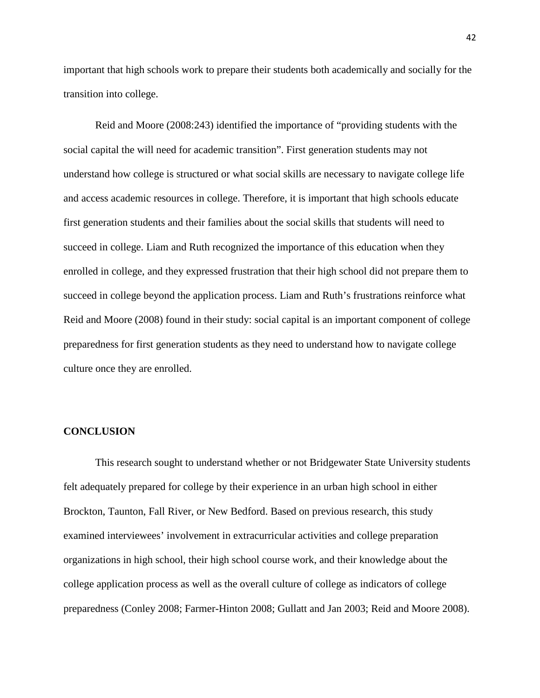important that high schools work to prepare their students both academically and socially for the transition into college.

Reid and Moore (2008:243) identified the importance of "providing students with the social capital the will need for academic transition". First generation students may not understand how college is structured or what social skills are necessary to navigate college life and access academic resources in college. Therefore, it is important that high schools educate first generation students and their families about the social skills that students will need to succeed in college. Liam and Ruth recognized the importance of this education when they enrolled in college, and they expressed frustration that their high school did not prepare them to succeed in college beyond the application process. Liam and Ruth's frustrations reinforce what Reid and Moore (2008) found in their study: social capital is an important component of college preparedness for first generation students as they need to understand how to navigate college culture once they are enrolled.

# **CONCLUSION**

This research sought to understand whether or not Bridgewater State University students felt adequately prepared for college by their experience in an urban high school in either Brockton, Taunton, Fall River, or New Bedford. Based on previous research, this study examined interviewees' involvement in extracurricular activities and college preparation organizations in high school, their high school course work, and their knowledge about the college application process as well as the overall culture of college as indicators of college preparedness (Conley 2008; Farmer-Hinton 2008; Gullatt and Jan 2003; Reid and Moore 2008).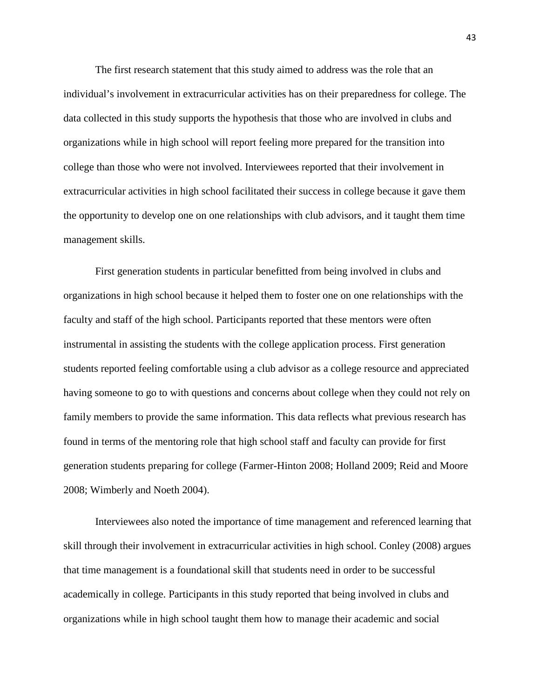The first research statement that this study aimed to address was the role that an individual's involvement in extracurricular activities has on their preparedness for college. The data collected in this study supports the hypothesis that those who are involved in clubs and organizations while in high school will report feeling more prepared for the transition into college than those who were not involved. Interviewees reported that their involvement in extracurricular activities in high school facilitated their success in college because it gave them the opportunity to develop one on one relationships with club advisors, and it taught them time management skills.

First generation students in particular benefitted from being involved in clubs and organizations in high school because it helped them to foster one on one relationships with the faculty and staff of the high school. Participants reported that these mentors were often instrumental in assisting the students with the college application process. First generation students reported feeling comfortable using a club advisor as a college resource and appreciated having someone to go to with questions and concerns about college when they could not rely on family members to provide the same information. This data reflects what previous research has found in terms of the mentoring role that high school staff and faculty can provide for first generation students preparing for college (Farmer-Hinton 2008; Holland 2009; Reid and Moore 2008; Wimberly and Noeth 2004).

Interviewees also noted the importance of time management and referenced learning that skill through their involvement in extracurricular activities in high school. Conley (2008) argues that time management is a foundational skill that students need in order to be successful academically in college. Participants in this study reported that being involved in clubs and organizations while in high school taught them how to manage their academic and social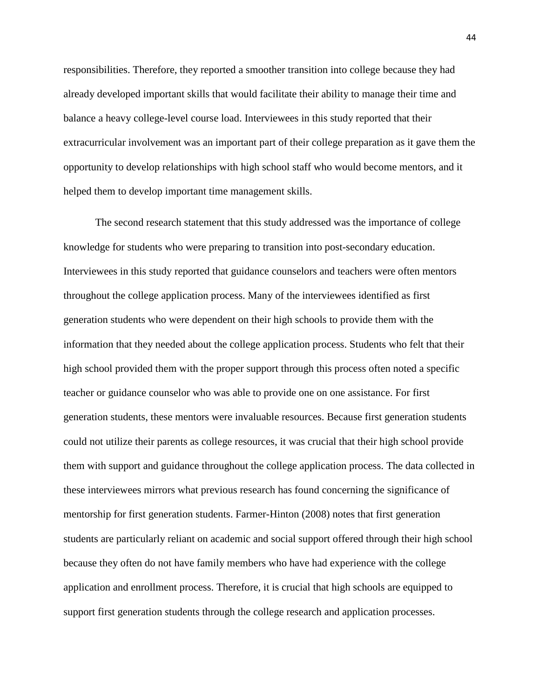responsibilities. Therefore, they reported a smoother transition into college because they had already developed important skills that would facilitate their ability to manage their time and balance a heavy college-level course load. Interviewees in this study reported that their extracurricular involvement was an important part of their college preparation as it gave them the opportunity to develop relationships with high school staff who would become mentors, and it helped them to develop important time management skills.

The second research statement that this study addressed was the importance of college knowledge for students who were preparing to transition into post-secondary education. Interviewees in this study reported that guidance counselors and teachers were often mentors throughout the college application process. Many of the interviewees identified as first generation students who were dependent on their high schools to provide them with the information that they needed about the college application process. Students who felt that their high school provided them with the proper support through this process often noted a specific teacher or guidance counselor who was able to provide one on one assistance. For first generation students, these mentors were invaluable resources. Because first generation students could not utilize their parents as college resources, it was crucial that their high school provide them with support and guidance throughout the college application process. The data collected in these interviewees mirrors what previous research has found concerning the significance of mentorship for first generation students. Farmer-Hinton (2008) notes that first generation students are particularly reliant on academic and social support offered through their high school because they often do not have family members who have had experience with the college application and enrollment process. Therefore, it is crucial that high schools are equipped to support first generation students through the college research and application processes.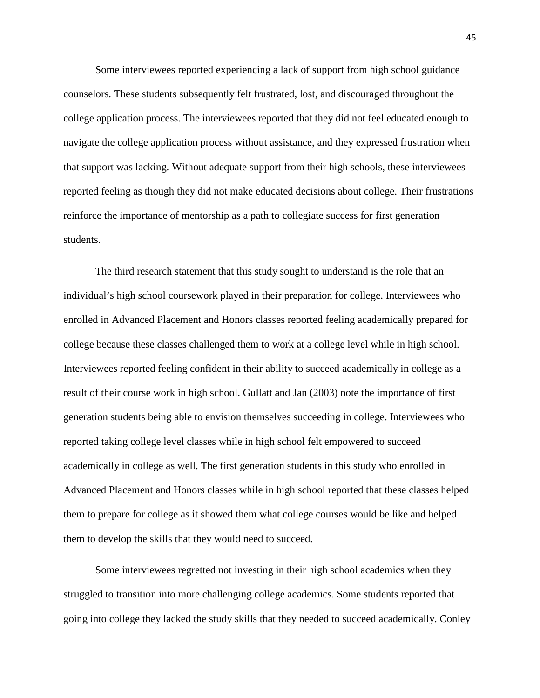Some interviewees reported experiencing a lack of support from high school guidance counselors. These students subsequently felt frustrated, lost, and discouraged throughout the college application process. The interviewees reported that they did not feel educated enough to navigate the college application process without assistance, and they expressed frustration when that support was lacking. Without adequate support from their high schools, these interviewees reported feeling as though they did not make educated decisions about college. Their frustrations reinforce the importance of mentorship as a path to collegiate success for first generation students.

The third research statement that this study sought to understand is the role that an individual's high school coursework played in their preparation for college. Interviewees who enrolled in Advanced Placement and Honors classes reported feeling academically prepared for college because these classes challenged them to work at a college level while in high school. Interviewees reported feeling confident in their ability to succeed academically in college as a result of their course work in high school. Gullatt and Jan (2003) note the importance of first generation students being able to envision themselves succeeding in college. Interviewees who reported taking college level classes while in high school felt empowered to succeed academically in college as well. The first generation students in this study who enrolled in Advanced Placement and Honors classes while in high school reported that these classes helped them to prepare for college as it showed them what college courses would be like and helped them to develop the skills that they would need to succeed.

Some interviewees regretted not investing in their high school academics when they struggled to transition into more challenging college academics. Some students reported that going into college they lacked the study skills that they needed to succeed academically. Conley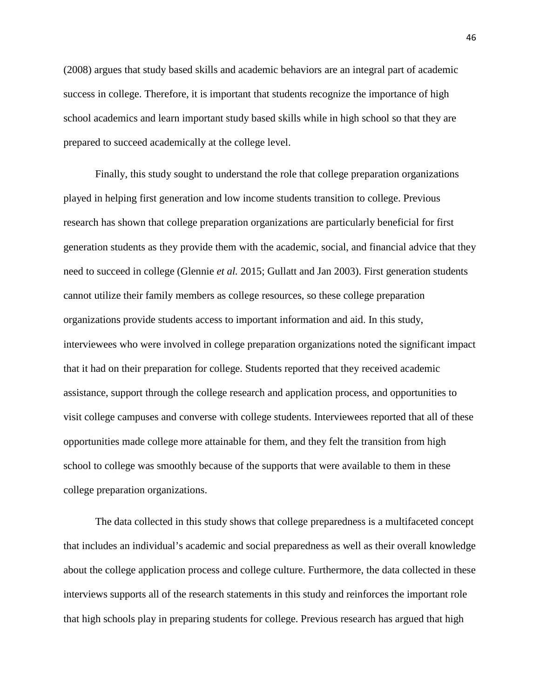(2008) argues that study based skills and academic behaviors are an integral part of academic success in college. Therefore, it is important that students recognize the importance of high school academics and learn important study based skills while in high school so that they are prepared to succeed academically at the college level.

Finally, this study sought to understand the role that college preparation organizations played in helping first generation and low income students transition to college. Previous research has shown that college preparation organizations are particularly beneficial for first generation students as they provide them with the academic, social, and financial advice that they need to succeed in college (Glennie *et al.* 2015; Gullatt and Jan 2003). First generation students cannot utilize their family members as college resources, so these college preparation organizations provide students access to important information and aid. In this study, interviewees who were involved in college preparation organizations noted the significant impact that it had on their preparation for college. Students reported that they received academic assistance, support through the college research and application process, and opportunities to visit college campuses and converse with college students. Interviewees reported that all of these opportunities made college more attainable for them, and they felt the transition from high school to college was smoothly because of the supports that were available to them in these college preparation organizations.

The data collected in this study shows that college preparedness is a multifaceted concept that includes an individual's academic and social preparedness as well as their overall knowledge about the college application process and college culture. Furthermore, the data collected in these interviews supports all of the research statements in this study and reinforces the important role that high schools play in preparing students for college. Previous research has argued that high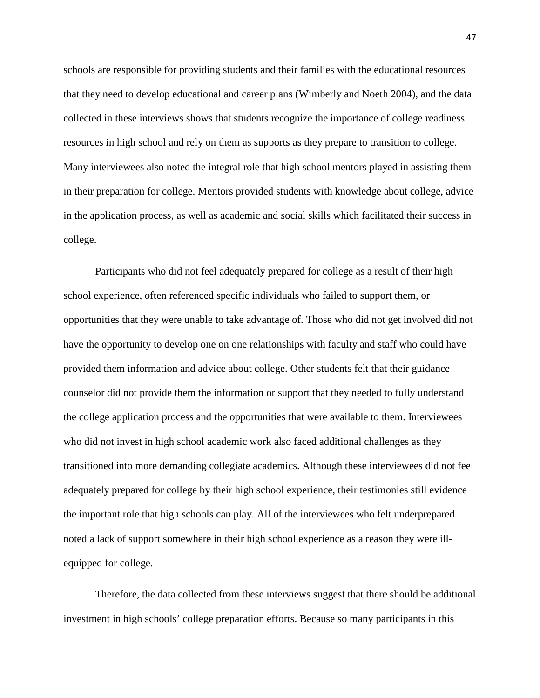schools are responsible for providing students and their families with the educational resources that they need to develop educational and career plans (Wimberly and Noeth 2004), and the data collected in these interviews shows that students recognize the importance of college readiness resources in high school and rely on them as supports as they prepare to transition to college. Many interviewees also noted the integral role that high school mentors played in assisting them in their preparation for college. Mentors provided students with knowledge about college, advice in the application process, as well as academic and social skills which facilitated their success in college.

Participants who did not feel adequately prepared for college as a result of their high school experience, often referenced specific individuals who failed to support them, or opportunities that they were unable to take advantage of. Those who did not get involved did not have the opportunity to develop one on one relationships with faculty and staff who could have provided them information and advice about college. Other students felt that their guidance counselor did not provide them the information or support that they needed to fully understand the college application process and the opportunities that were available to them. Interviewees who did not invest in high school academic work also faced additional challenges as they transitioned into more demanding collegiate academics. Although these interviewees did not feel adequately prepared for college by their high school experience, their testimonies still evidence the important role that high schools can play. All of the interviewees who felt underprepared noted a lack of support somewhere in their high school experience as a reason they were illequipped for college.

Therefore, the data collected from these interviews suggest that there should be additional investment in high schools' college preparation efforts. Because so many participants in this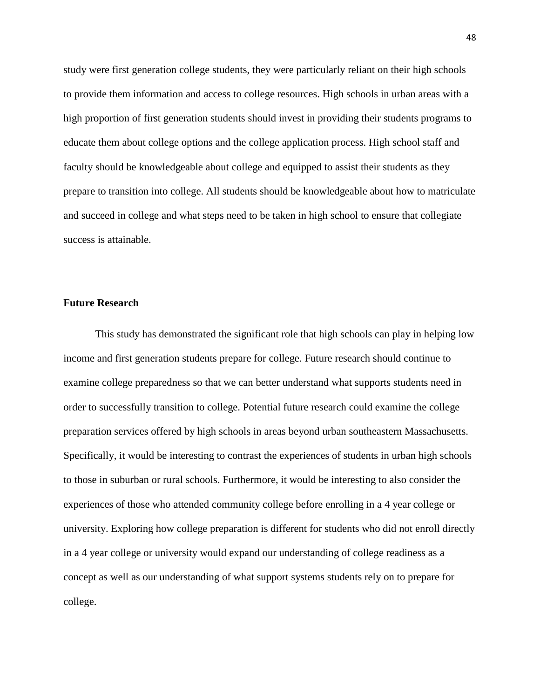study were first generation college students, they were particularly reliant on their high schools to provide them information and access to college resources. High schools in urban areas with a high proportion of first generation students should invest in providing their students programs to educate them about college options and the college application process. High school staff and faculty should be knowledgeable about college and equipped to assist their students as they prepare to transition into college. All students should be knowledgeable about how to matriculate and succeed in college and what steps need to be taken in high school to ensure that collegiate success is attainable.

#### **Future Research**

This study has demonstrated the significant role that high schools can play in helping low income and first generation students prepare for college. Future research should continue to examine college preparedness so that we can better understand what supports students need in order to successfully transition to college. Potential future research could examine the college preparation services offered by high schools in areas beyond urban southeastern Massachusetts. Specifically, it would be interesting to contrast the experiences of students in urban high schools to those in suburban or rural schools. Furthermore, it would be interesting to also consider the experiences of those who attended community college before enrolling in a 4 year college or university. Exploring how college preparation is different for students who did not enroll directly in a 4 year college or university would expand our understanding of college readiness as a concept as well as our understanding of what support systems students rely on to prepare for college.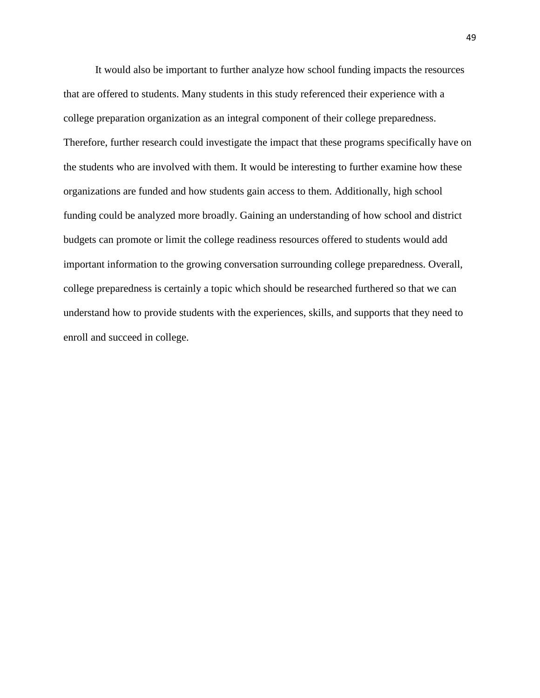It would also be important to further analyze how school funding impacts the resources that are offered to students. Many students in this study referenced their experience with a college preparation organization as an integral component of their college preparedness. Therefore, further research could investigate the impact that these programs specifically have on the students who are involved with them. It would be interesting to further examine how these organizations are funded and how students gain access to them. Additionally, high school funding could be analyzed more broadly. Gaining an understanding of how school and district budgets can promote or limit the college readiness resources offered to students would add important information to the growing conversation surrounding college preparedness. Overall, college preparedness is certainly a topic which should be researched furthered so that we can understand how to provide students with the experiences, skills, and supports that they need to enroll and succeed in college.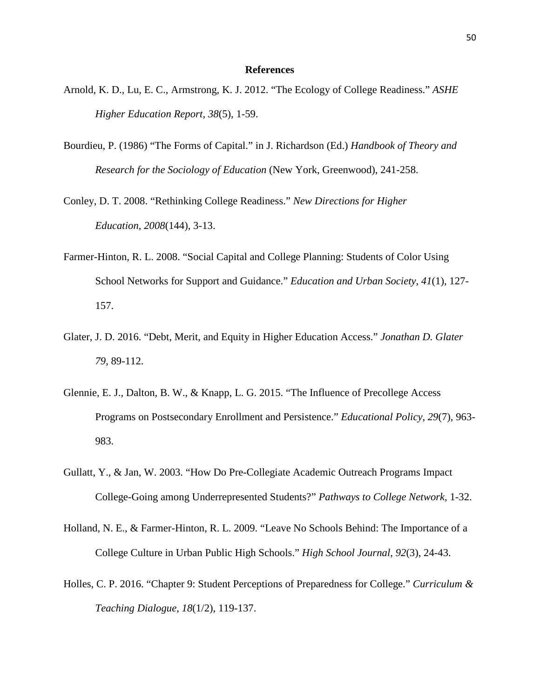#### **References**

- Arnold, K. D., Lu, E. C., Armstrong, K. J. 2012. "The Ecology of College Readiness." *ASHE Higher Education Report, 38*(5), 1-59.
- Bourdieu, P. (1986) "The Forms of Capital." in J. Richardson (Ed.) *Handbook of Theory and Research for the Sociology of Education* (New York, Greenwood), 241-258.
- Conley, D. T. 2008. "Rethinking College Readiness." *New Directions for Higher Education*, *2008*(144), 3-13.
- Farmer-Hinton, R. L. 2008. "Social Capital and College Planning: Students of Color Using School Networks for Support and Guidance." *Education and Urban Society, 41*(1), 127- 157.
- Glater, J. D. 2016. "Debt, Merit, and Equity in Higher Education Access." *Jonathan D. Glater 79*, 89-112.
- Glennie, E. J., Dalton, B. W., & Knapp, L. G. 2015. "The Influence of Precollege Access Programs on Postsecondary Enrollment and Persistence." *Educational Policy*, *29*(7), 963- 983.
- Gullatt, Y., & Jan, W. 2003. "How Do Pre-Collegiate Academic Outreach Programs Impact College-Going among Underrepresented Students?" *Pathways to College Network,* 1-32.
- Holland, N. E., & Farmer-Hinton, R. L. 2009. "Leave No Schools Behind: The Importance of a College Culture in Urban Public High Schools." *High School Journal*, *92*(3), 24-43.
- Holles, C. P. 2016. "Chapter 9: Student Perceptions of Preparedness for College." *Curriculum & Teaching Dialogue*, *18*(1/2), 119-137.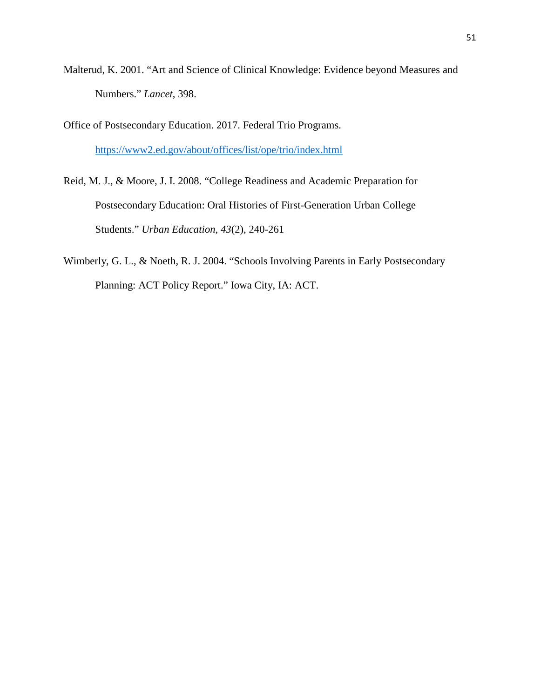- Malterud, K. 2001. "Art and Science of Clinical Knowledge: Evidence beyond Measures and Numbers." *Lancet*, 398.
- Office of Postsecondary Education. 2017. Federal Trio Programs. <https://www2.ed.gov/about/offices/list/ope/trio/index.html>
- Reid, M. J., & Moore, J. I. 2008. "College Readiness and Academic Preparation for Postsecondary Education: Oral Histories of First-Generation Urban College Students." *Urban Education*, *43*(2), 240-261
- Wimberly, G. L., & Noeth, R. J. 2004. "Schools Involving Parents in Early Postsecondary Planning: ACT Policy Report." Iowa City, IA: ACT.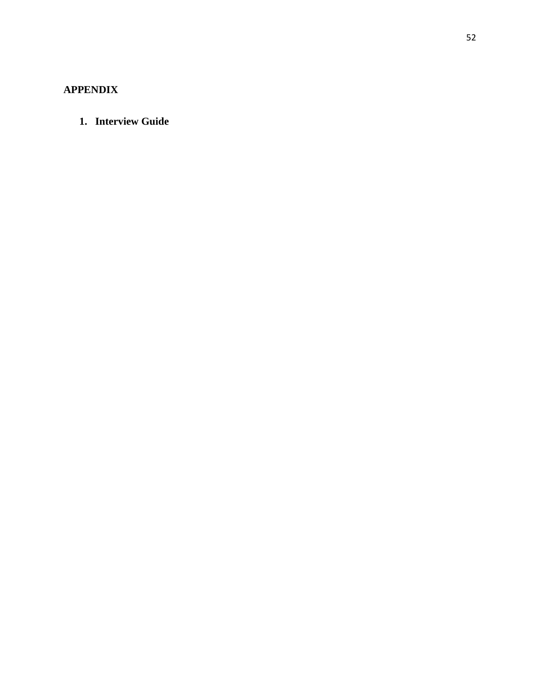# **APPENDIX**

**1. Interview Guide**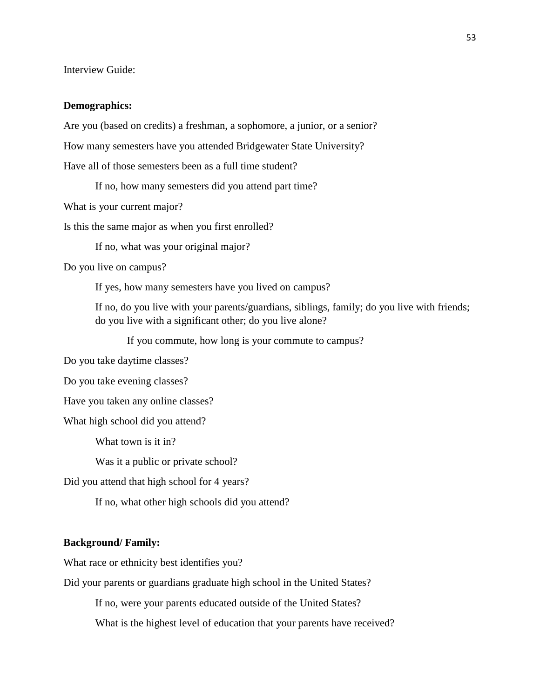Interview Guide:

#### **Demographics:**

Are you (based on credits) a freshman, a sophomore, a junior, or a senior?

How many semesters have you attended Bridgewater State University?

Have all of those semesters been as a full time student?

If no, how many semesters did you attend part time?

What is your current major?

Is this the same major as when you first enrolled?

If no, what was your original major?

Do you live on campus?

If yes, how many semesters have you lived on campus?

If no, do you live with your parents/guardians, siblings, family; do you live with friends; do you live with a significant other; do you live alone?

If you commute, how long is your commute to campus?

Do you take daytime classes?

Do you take evening classes?

Have you taken any online classes?

What high school did you attend?

What town is it in?

Was it a public or private school?

Did you attend that high school for 4 years?

If no, what other high schools did you attend?

#### **Background/ Family:**

What race or ethnicity best identifies you?

Did your parents or guardians graduate high school in the United States?

If no, were your parents educated outside of the United States?

What is the highest level of education that your parents have received?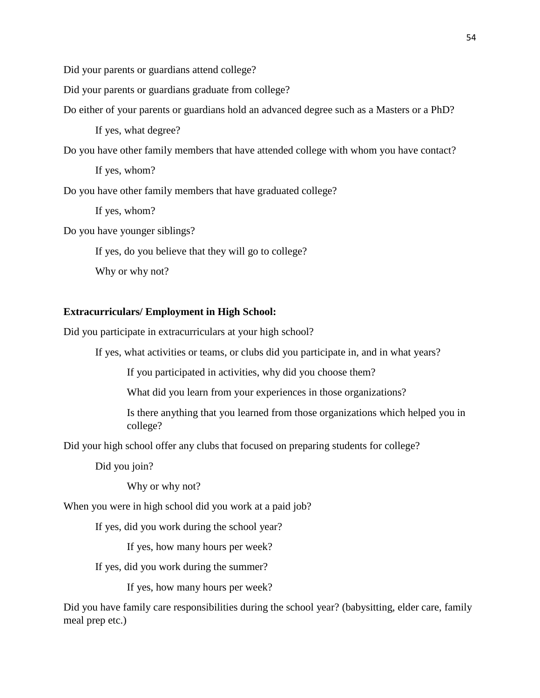Did your parents or guardians attend college?

Did your parents or guardians graduate from college?

Do either of your parents or guardians hold an advanced degree such as a Masters or a PhD?

If yes, what degree?

Do you have other family members that have attended college with whom you have contact?

If yes, whom?

Do you have other family members that have graduated college?

If yes, whom?

Do you have younger siblings?

If yes, do you believe that they will go to college?

Why or why not?

#### **Extracurriculars/ Employment in High School:**

Did you participate in extracurriculars at your high school?

If yes, what activities or teams, or clubs did you participate in, and in what years?

If you participated in activities, why did you choose them?

What did you learn from your experiences in those organizations?

Is there anything that you learned from those organizations which helped you in college?

Did your high school offer any clubs that focused on preparing students for college?

Did you join?

Why or why not?

When you were in high school did you work at a paid job?

If yes, did you work during the school year?

If yes, how many hours per week?

If yes, did you work during the summer?

If yes, how many hours per week?

Did you have family care responsibilities during the school year? (babysitting, elder care, family meal prep etc.)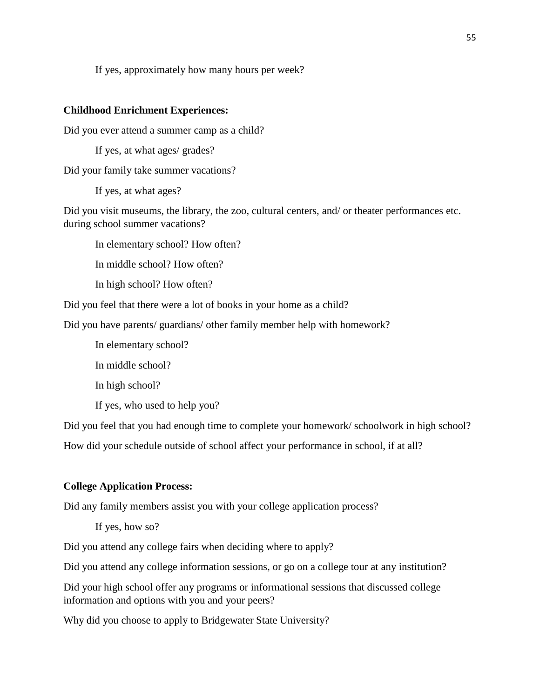If yes, approximately how many hours per week?

#### **Childhood Enrichment Experiences:**

Did you ever attend a summer camp as a child?

If yes, at what ages/ grades?

Did your family take summer vacations?

If yes, at what ages?

Did you visit museums, the library, the zoo, cultural centers, and/ or theater performances etc. during school summer vacations?

In elementary school? How often?

In middle school? How often?

In high school? How often?

Did you feel that there were a lot of books in your home as a child?

Did you have parents/ guardians/ other family member help with homework?

In elementary school?

In middle school?

In high school?

If yes, who used to help you?

Did you feel that you had enough time to complete your homework/ schoolwork in high school? How did your schedule outside of school affect your performance in school, if at all?

# **College Application Process:**

Did any family members assist you with your college application process?

If yes, how so?

Did you attend any college fairs when deciding where to apply?

Did you attend any college information sessions, or go on a college tour at any institution?

Did your high school offer any programs or informational sessions that discussed college information and options with you and your peers?

Why did you choose to apply to Bridgewater State University?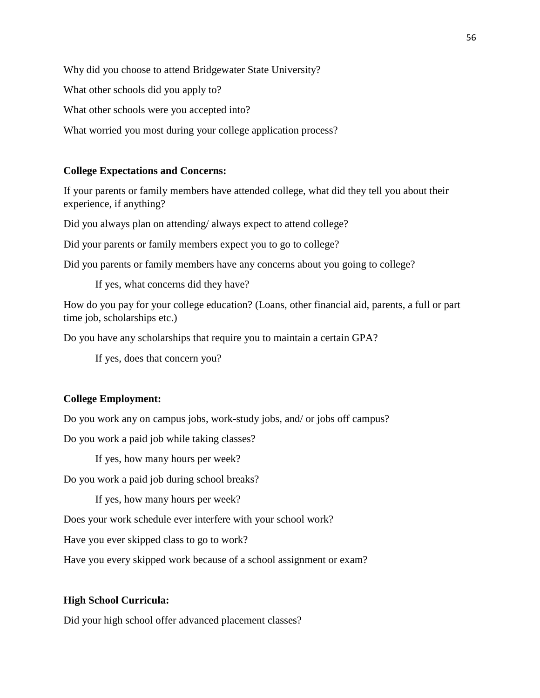Why did you choose to attend Bridgewater State University?

What other schools did you apply to?

What other schools were you accepted into?

What worried you most during your college application process?

# **College Expectations and Concerns:**

If your parents or family members have attended college, what did they tell you about their experience, if anything?

Did you always plan on attending/ always expect to attend college?

Did your parents or family members expect you to go to college?

Did you parents or family members have any concerns about you going to college?

If yes, what concerns did they have?

How do you pay for your college education? (Loans, other financial aid, parents, a full or part time job, scholarships etc.)

Do you have any scholarships that require you to maintain a certain GPA?

If yes, does that concern you?

# **College Employment:**

Do you work any on campus jobs, work-study jobs, and/ or jobs off campus?

Do you work a paid job while taking classes?

If yes, how many hours per week?

Do you work a paid job during school breaks?

If yes, how many hours per week?

Does your work schedule ever interfere with your school work?

Have you ever skipped class to go to work?

Have you every skipped work because of a school assignment or exam?

# **High School Curricula:**

Did your high school offer advanced placement classes?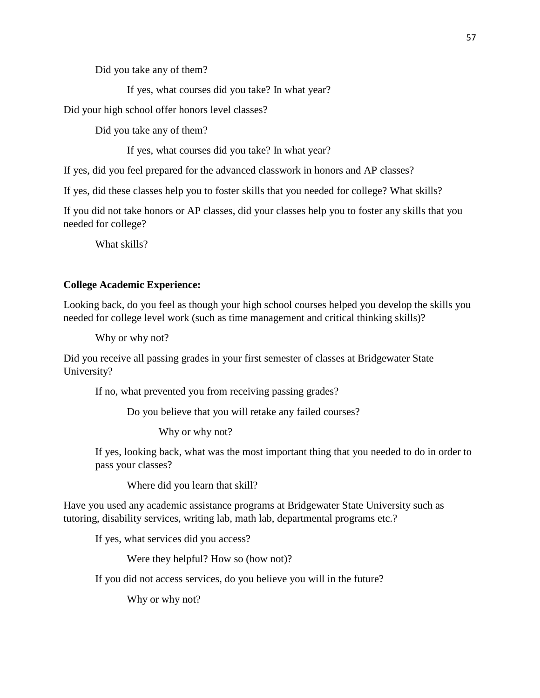Did you take any of them?

If yes, what courses did you take? In what year?

Did your high school offer honors level classes?

Did you take any of them?

If yes, what courses did you take? In what year?

If yes, did you feel prepared for the advanced classwork in honors and AP classes?

If yes, did these classes help you to foster skills that you needed for college? What skills?

If you did not take honors or AP classes, did your classes help you to foster any skills that you needed for college?

What skills?

# **College Academic Experience:**

Looking back, do you feel as though your high school courses helped you develop the skills you needed for college level work (such as time management and critical thinking skills)?

Why or why not?

Did you receive all passing grades in your first semester of classes at Bridgewater State University?

If no, what prevented you from receiving passing grades?

Do you believe that you will retake any failed courses?

Why or why not?

If yes, looking back, what was the most important thing that you needed to do in order to pass your classes?

Where did you learn that skill?

Have you used any academic assistance programs at Bridgewater State University such as tutoring, disability services, writing lab, math lab, departmental programs etc.?

If yes, what services did you access?

Were they helpful? How so (how not)?

If you did not access services, do you believe you will in the future?

Why or why not?